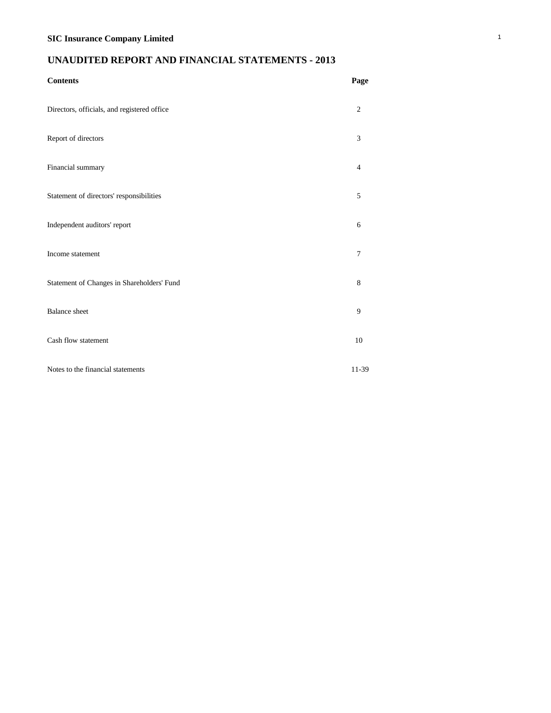# **UNAUDITED REPORT AND FINANCIAL STATEMENTS - 2013**

| <b>Contents</b>                             | Page           |
|---------------------------------------------|----------------|
| Directors, officials, and registered office | 2              |
| Report of directors                         | 3              |
| Financial summary                           | $\overline{4}$ |
| Statement of directors' responsibilities    | 5              |
| Independent auditors' report                | 6              |
| Income statement                            | 7              |
| Statement of Changes in Shareholders' Fund  | 8              |
| <b>Balance</b> sheet                        | 9              |
| Cash flow statement                         | 10             |
| Notes to the financial statements           | 11-39          |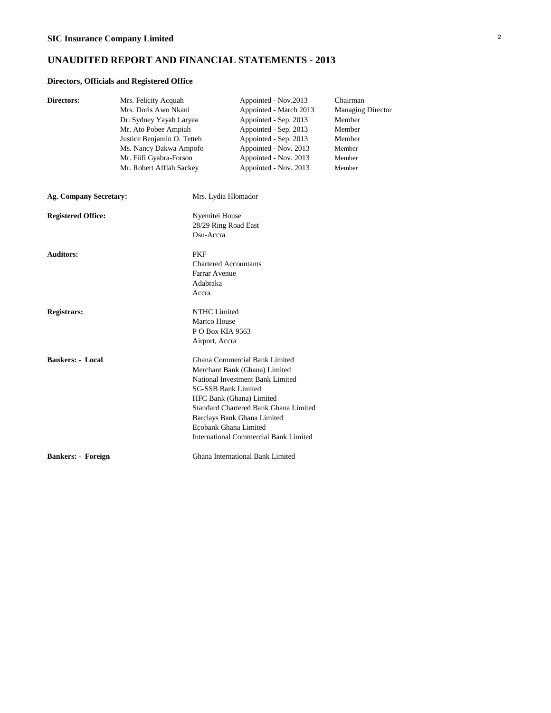## **UNAUDITED REPORT AND FINANCIAL STATEMENTS - 2013**

### **Directors, Officials and Registered Office**

| Directors:                    | Mrs. Felicity Acquah<br>Mrs. Doris Awo Nkani<br>Dr. Sydney Yayah Laryea<br>Mr. Ato Pobee Ampiah<br>Justice Benjamin O. Tetteh<br>Ms. Nancy Dakwa Ampofo<br>Mr. Fiifi Gyabra-Forson<br>Mr. Robert Afflah Sackey |                                                                                                                                                                                                                                                                                                               | Appointed - Nov.2013<br>Appointed - March 2013<br>Appointed - Sep. 2013<br>Appointed - Sep. 2013<br>Appointed - Sep. 2013<br>Appointed - Nov. 2013<br>Appointed - Nov. 2013<br>Appointed - Nov. 2013 | Chairman<br><b>Managing Director</b><br>Member<br>Member<br>Member<br>Member<br>Member<br>Member |  |
|-------------------------------|----------------------------------------------------------------------------------------------------------------------------------------------------------------------------------------------------------------|---------------------------------------------------------------------------------------------------------------------------------------------------------------------------------------------------------------------------------------------------------------------------------------------------------------|------------------------------------------------------------------------------------------------------------------------------------------------------------------------------------------------------|--------------------------------------------------------------------------------------------------|--|
| <b>Ag. Company Secretary:</b> |                                                                                                                                                                                                                | Mrs. Lydia Hlomador                                                                                                                                                                                                                                                                                           |                                                                                                                                                                                                      |                                                                                                  |  |
| <b>Registered Office:</b>     | Nyemitei House<br>28/29 Ring Road East<br>Osu-Accra                                                                                                                                                            |                                                                                                                                                                                                                                                                                                               |                                                                                                                                                                                                      |                                                                                                  |  |
| <b>Auditors:</b>              |                                                                                                                                                                                                                | <b>PKF</b><br><b>Chartered Accountants</b><br>Farrar Avenue<br>Adabraka<br>Accra                                                                                                                                                                                                                              |                                                                                                                                                                                                      |                                                                                                  |  |
| <b>Registrars:</b>            |                                                                                                                                                                                                                | <b>NTHC</b> Limited<br>Martco House<br>P O Box KIA 9563<br>Airport, Accra                                                                                                                                                                                                                                     |                                                                                                                                                                                                      |                                                                                                  |  |
| <b>Bankers: - Local</b>       |                                                                                                                                                                                                                | Ghana Commercial Bank Limited<br>Merchant Bank (Ghana) Limited<br>National Investment Bank Limited<br><b>SG-SSB Bank Limited</b><br>HFC Bank (Ghana) Limited<br>Standard Chartered Bank Ghana Limited<br>Barclays Bank Ghana Limited<br>Ecobank Ghana Limited<br><b>International Commercial Bank Limited</b> |                                                                                                                                                                                                      |                                                                                                  |  |
| <b>Bankers: - Foreign</b>     |                                                                                                                                                                                                                |                                                                                                                                                                                                                                                                                                               | Ghana International Bank Limited                                                                                                                                                                     |                                                                                                  |  |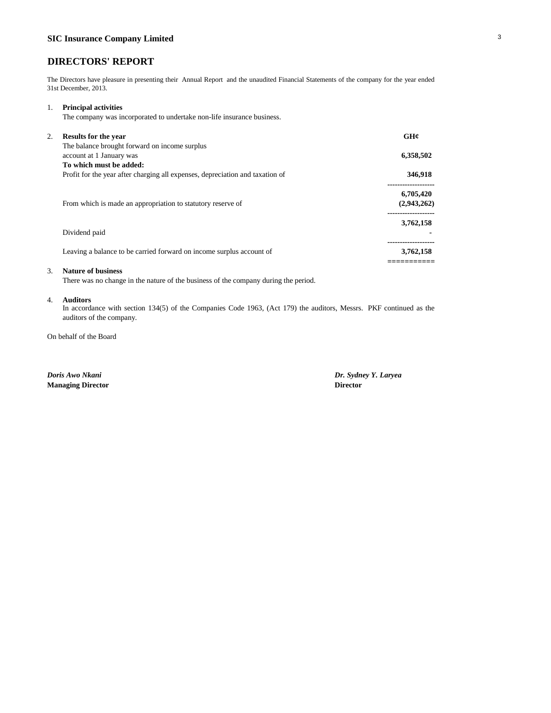## **DIRECTORS' REPORT**

The Directors have pleasure in presenting their Annual Report and the unaudited Financial Statements of the company for the year ended 31st December, 2013.

### 1. **Principal activities**

The company was incorporated to undertake non-life insurance business.

| 2. | <b>Results for the year</b>                                                   | GH¢         |
|----|-------------------------------------------------------------------------------|-------------|
|    | The balance brought forward on income surplus<br>account at 1 January was     | 6,358,502   |
|    | To which must be added:                                                       |             |
|    | Profit for the year after charging all expenses, depreciation and taxation of | 346,918     |
|    |                                                                               | 6,705,420   |
|    | From which is made an appropriation to statutory reserve of                   | (2,943,262) |
|    |                                                                               | 3,762,158   |
|    | Dividend paid                                                                 |             |
|    | Leaving a balance to be carried forward on income surplus account of          | 3,762,158   |
|    |                                                                               |             |

### 3. **Nature of business**

There was no change in the nature of the business of the company during the period.

### 4. **Auditors**

In accordance with section 134(5) of the Companies Code 1963, (Act 179) the auditors, Messrs. PKF continued as the auditors of the company.

On behalf of the Board

*Doris Awo Nkani Dr. Sydney Y. Laryea* **Managing Director Director**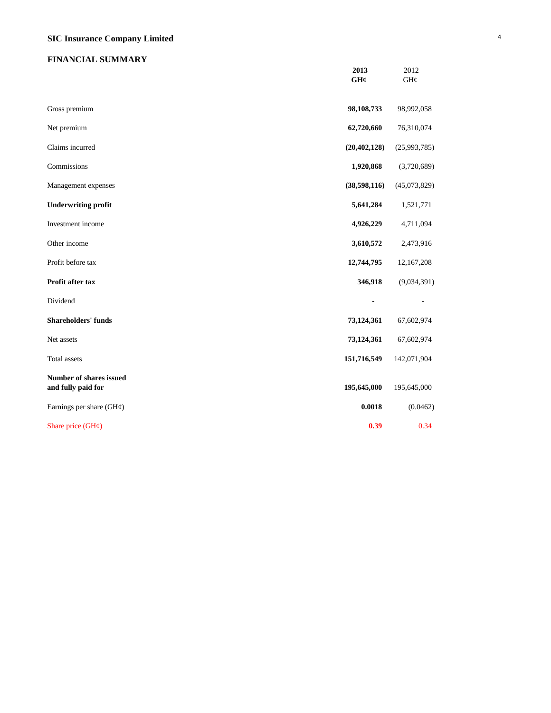# **SIC Insurance Company Limited** <sup>4</sup>

## **FINANCIAL SUMMARY**

|                                               | 2013<br>GHC    | 2012<br>GH¢  |
|-----------------------------------------------|----------------|--------------|
| Gross premium                                 | 98,108,733     | 98,992,058   |
| Net premium                                   | 62,720,660     | 76,310,074   |
| Claims incurred                               | (20, 402, 128) | (25,993,785) |
| Commissions                                   | 1,920,868      | (3,720,689)  |
| Management expenses                           | (38, 598, 116) | (45,073,829) |
| <b>Underwriting profit</b>                    | 5,641,284      | 1,521,771    |
| Investment income                             | 4,926,229      | 4,711,094    |
| Other income                                  | 3,610,572      | 2,473,916    |
| Profit before tax                             | 12,744,795     | 12,167,208   |
| Profit after tax                              | 346,918        | (9,034,391)  |
| Dividend                                      | $\blacksquare$ |              |
| <b>Shareholders' funds</b>                    | 73,124,361     | 67,602,974   |
| Net assets                                    | 73,124,361     | 67,602,974   |
| <b>Total</b> assets                           | 151,716,549    | 142,071,904  |
| Number of shares issued<br>and fully paid for | 195,645,000    | 195,645,000  |
| Earnings per share $(GH\varphi)$              | 0.0018         | (0.0462)     |
| Share price $(GH\phi)$                        | 0.39           | 0.34         |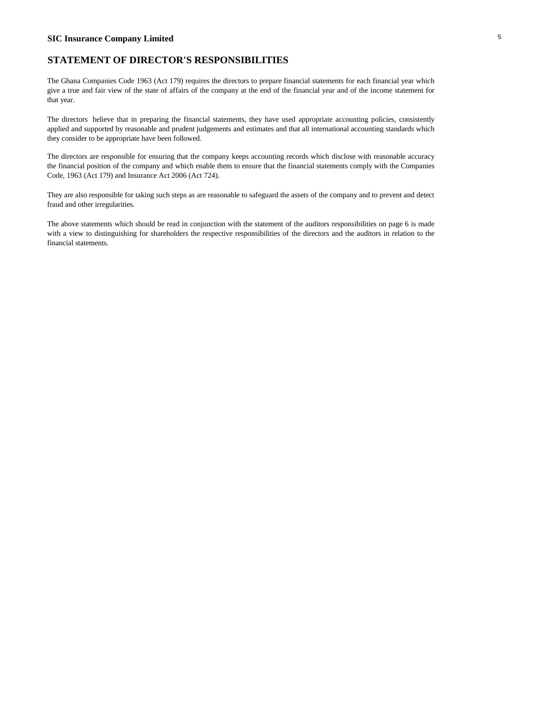### **SIC Insurance Company Limited** <sup>5</sup>

### **STATEMENT OF DIRECTOR'S RESPONSIBILITIES**

The Ghana Companies Code 1963 (Act 179) requires the directors to prepare financial statements for each financial year which give a true and fair view of the state of affairs of the company at the end of the financial year and of the income statement for that year.

The directors believe that in preparing the financial statements, they have used appropriate accounting policies, consistently applied and supported by reasonable and prudent judgements and estimates and that all international accounting standards which they consider to be appropriate have been followed.

The directors are responsible for ensuring that the company keeps accounting records which disclose with reasonable accuracy the financial position of the company and which enable them to ensure that the financial statements comply with the Companies Code, 1963 (Act 179) and Insurance Act 2006 (Act 724).

They are also responsible for taking such steps as are reasonable to safeguard the assets of the company and to prevent and detect fraud and other irregularities.

The above statements which should be read in conjunction with the statement of the auditors responsibilities on page 6 is made with a view to distinguishing for shareholders the respective responsibilities of the directors and the auditors in relation to the financial statements.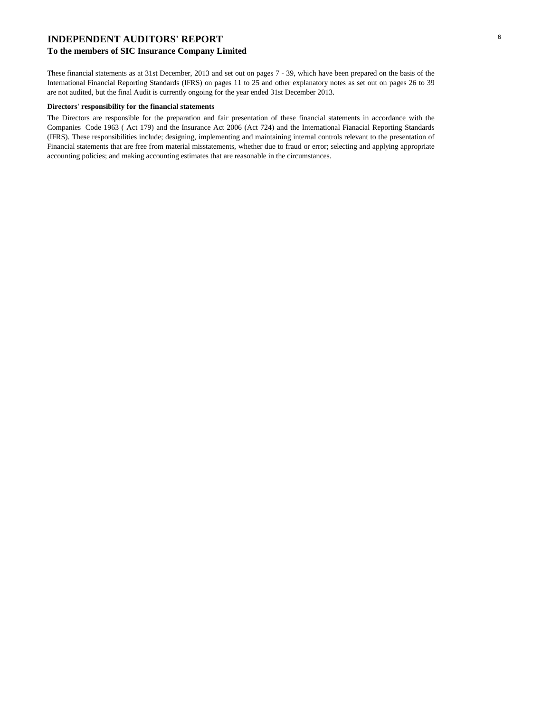### **INDEPENDENT AUDITORS' REPORT**

### **To the members of SIC Insurance Company Limited**

These financial statements as at 31st December, 2013 and set out on pages 7 - 39, which have been prepared on the basis of the International Financial Reporting Standards (IFRS) on pages 11 to 25 and other explanatory notes as set out on pages 26 to 39 are not audited, but the final Audit is currently ongoing for the year ended 31st December 2013.

#### **Directors' responsibility for the financial statements**

The Directors are responsible for the preparation and fair presentation of these financial statements in accordance with the Companies Code 1963 ( Act 179) and the Insurance Act 2006 (Act 724) and the International Fianacial Reporting Standards (IFRS). These responsibilities include; designing, implementing and maintaining internal controls relevant to the presentation of Financial statements that are free from material misstatements, whether due to fraud or error; selecting and applying appropriate accounting policies; and making accounting estimates that are reasonable in the circumstances.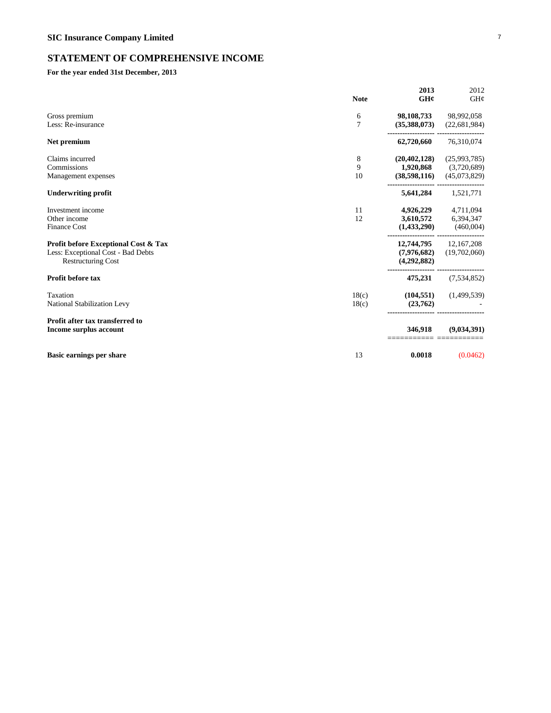## **STATEMENT OF COMPREHENSIVE INCOME**

### **For the year ended 31st December, 2013**

|                                                                                                         | <b>Note</b>    | 2013<br>GHC                                 | 2012<br>GH¢                                 |
|---------------------------------------------------------------------------------------------------------|----------------|---------------------------------------------|---------------------------------------------|
| Gross premium<br>Less: Re-insurance                                                                     | 6<br>7         | 98,108,733<br>(35,388,073)                  | 98,992,058<br>(22, 681, 984)                |
| Net premium                                                                                             |                | 62,720,660                                  | 76,310,074                                  |
| Claims incurred<br>Commissions<br>Management expenses                                                   | 8<br>9<br>10   | (20, 402, 128)<br>1,920,868<br>(38,598,116) | (25,993,785)<br>(3,720,689)<br>(45,073,829) |
| <b>Underwriting profit</b>                                                                              |                | 5,641,284                                   | 1,521,771                                   |
| Investment income<br>Other income<br><b>Finance Cost</b>                                                | 11<br>12       | 4,926,229<br>3,610,572<br>(1,433,290)       | 4,711,094<br>6,394,347<br>(460,004)         |
| Profit before Exceptional Cost & Tax<br>Less: Exceptional Cost - Bad Debts<br><b>Restructuring Cost</b> |                | 12,744,795<br>(7,976,682)<br>(4,292,882)    | 12,167,208<br>(19,702,060)                  |
| <b>Profit before tax</b>                                                                                |                | 475,231                                     | (7,534,852)                                 |
| Taxation<br>National Stabilization Levy                                                                 | 18(c)<br>18(c) | (104, 551)<br>(23,762)                      | (1,499,539)                                 |
| Profit after tax transferred to<br>Income surplus account                                               |                | 346,918                                     | (9,034,391)                                 |
| <b>Basic earnings per share</b>                                                                         | 13             | 0.0018                                      | (0.0462)                                    |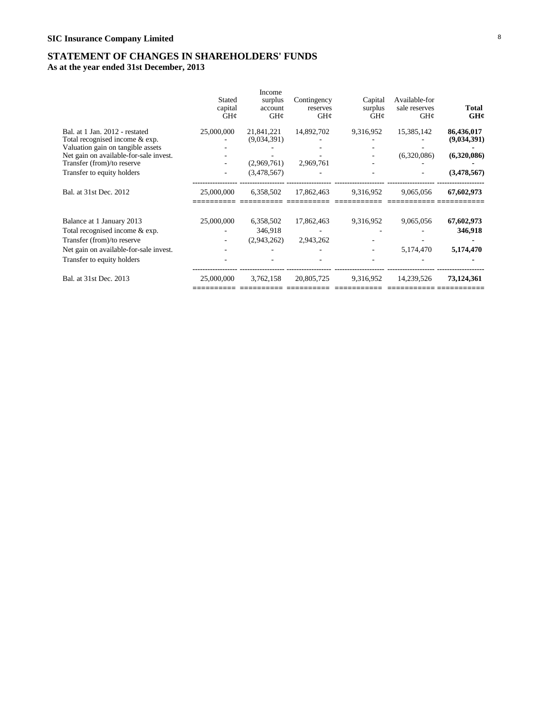## **STATEMENT OF CHANGES IN SHAREHOLDERS' FUNDS**

**As at the year ended 31st December, 2013**

|                                                                      | Stated<br>capital<br>GH¢ | <b>Income</b><br>surplus<br>account<br>GH@ | Contingency<br>reserves<br>GH¢ | Capital<br>surplus<br>GHC | Available-for<br>sale reserves<br>GH¢ | Total<br>GH¢ |
|----------------------------------------------------------------------|--------------------------|--------------------------------------------|--------------------------------|---------------------------|---------------------------------------|--------------|
| Bal. at 1 Jan. 2012 - restated                                       | 25,000,000               | 21,841,221                                 | 14,892,702                     | 9,316,952                 | 15,385,142                            | 86,436,017   |
| Total recognised income & exp.                                       |                          | (9,034,391)                                |                                |                           |                                       | (9,034,391)  |
| Valuation gain on tangible assets                                    |                          |                                            |                                |                           |                                       |              |
| Net gain on available-for-sale invest.<br>Transfer (from)/to reserve |                          | (2,969,761)                                | 2,969,761                      |                           | (6,320,086)                           | (6,320,086)  |
| Transfer to equity holders                                           |                          | (3,478,567)                                |                                |                           |                                       | (3,478,567)  |
| Bal. at 31st Dec. 2012                                               | 25,000,000               | 6,358,502                                  | 17,862,463                     | 9,316,952                 | 9.065.056                             | 67,602,973   |
| Balance at 1 January 2013                                            | 25,000,000               | 6,358,502                                  | 17,862,463                     | 9,316,952                 | 9,065,056                             | 67,602,973   |
| Total recognised income & exp.                                       |                          | 346,918                                    |                                |                           |                                       | 346,918      |
| Transfer (from)/to reserve                                           |                          | (2,943,262)                                | 2,943,262                      |                           |                                       |              |
| Net gain on available-for-sale invest.                               |                          |                                            |                                |                           | 5.174.470                             | 5,174,470    |
| Transfer to equity holders                                           |                          |                                            |                                |                           |                                       |              |
| Bal. at 31st Dec. 2013                                               | 25,000,000               | 3,762,158                                  | 20,805,725                     | 9,316,952                 | 14,239,526                            | 73,124,361   |
|                                                                      |                          |                                            |                                |                           |                                       |              |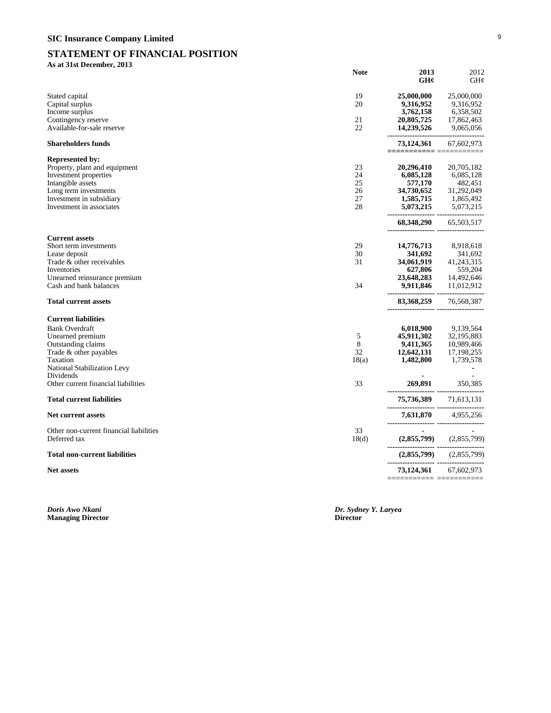# **SIC Insurance Company Limited** <sup>9</sup>

## **STATEMENT OF FINANCIAL POSITION**

### **As at 31st December, 2013**

|                                                                                                                                                                                        | <b>Note</b>                      | 2013<br>GH¢                                                                | 2012<br>GHC                                                                |
|----------------------------------------------------------------------------------------------------------------------------------------------------------------------------------------|----------------------------------|----------------------------------------------------------------------------|----------------------------------------------------------------------------|
| Stated capital<br>Capital surplus<br>Income surplus                                                                                                                                    | 19<br>20                         | 25,000,000<br>9,316,952<br>3,762,158                                       | 25,000,000<br>9,316,952<br>6,358,502                                       |
| Contingency reserve<br>Available-for-sale reserve                                                                                                                                      | 21<br>22                         | 20,805,725<br>14,239,526                                                   | 17,862,463<br>9,065,056<br>----------------                                |
| <b>Shareholders funds</b>                                                                                                                                                              |                                  | 73,124,361<br>=========== =========                                        | 67,602,973                                                                 |
| <b>Represented by:</b><br>Property, plant and equipment<br>Investment properties<br>Intangible assets<br>Long term investments<br>Investment in subsidiary<br>Investment in associates | 23<br>24<br>25<br>26<br>27<br>28 | 20,296,410<br>6,085,128<br>577,170<br>34,730,652<br>1,585,715<br>5,073,215 | 20,705,182<br>6,085,128<br>482,451<br>31,292,049<br>1,865,492<br>5,073,215 |
| <b>Current assets</b>                                                                                                                                                                  |                                  | 68,348,290                                                                 | 65,503,517                                                                 |
| Short term investments                                                                                                                                                                 | 29                               | 14,776,713                                                                 | 8,918,618                                                                  |
| Lease deposit<br>Trade & other receivables                                                                                                                                             | 30<br>31                         | 341,692<br>34,061,919                                                      | 341,692<br>41,243,315                                                      |
| Inventories                                                                                                                                                                            |                                  | 627,806                                                                    | 559,204                                                                    |
| Unearned reinsurance premium                                                                                                                                                           |                                  | 23,648,283                                                                 | 14,492,646                                                                 |
| Cash and bank balances                                                                                                                                                                 | 34                               | 9,911,846                                                                  | 11,012,912                                                                 |
| <b>Total current assets</b>                                                                                                                                                            |                                  | 83,368,259                                                                 | 76,568,387                                                                 |
| <b>Current liabilities</b>                                                                                                                                                             |                                  |                                                                            |                                                                            |
| <b>Bank Overdraft</b>                                                                                                                                                                  |                                  | 6,018,900                                                                  | 9,139,564                                                                  |
| Unearned premium                                                                                                                                                                       | 5                                | 45,911,302                                                                 | 32,195,883                                                                 |
| Outstanding claims                                                                                                                                                                     | 8<br>32                          | 9,411,365                                                                  | 10,989,466                                                                 |
| Trade & other payables<br>Taxation                                                                                                                                                     | 18(a)                            | 12,642,131<br>1,482,800                                                    | 17,198,255<br>1,739,578                                                    |
| National Stabilization Levy<br>Dividends                                                                                                                                               |                                  |                                                                            |                                                                            |
| Other current financial liabilities                                                                                                                                                    | 33                               | 269,891<br>---------------- --------------------                           | 350,385                                                                    |
| <b>Total current liabilities</b>                                                                                                                                                       |                                  | 75,736,389                                                                 | 71,613,131                                                                 |
| <b>Net current assets</b>                                                                                                                                                              |                                  | 7,631,870                                                                  | 4,955,256                                                                  |
| Other non-current financial liabilities<br>Deferred tax                                                                                                                                | 33<br>18 <sub>d</sub>            | (2,855,799)                                                                | (2,855,799)                                                                |
| <b>Total non-current liabilities</b>                                                                                                                                                   |                                  | (2,855,799)                                                                | (2,855,799)                                                                |
| <b>Net assets</b>                                                                                                                                                                      |                                  | 73,124,361                                                                 | 67,602,973                                                                 |
|                                                                                                                                                                                        |                                  | =========================                                                  |                                                                            |

**Managing Director Director**

*Doris Awo Nkani Dr. Sydney Y. Laryea*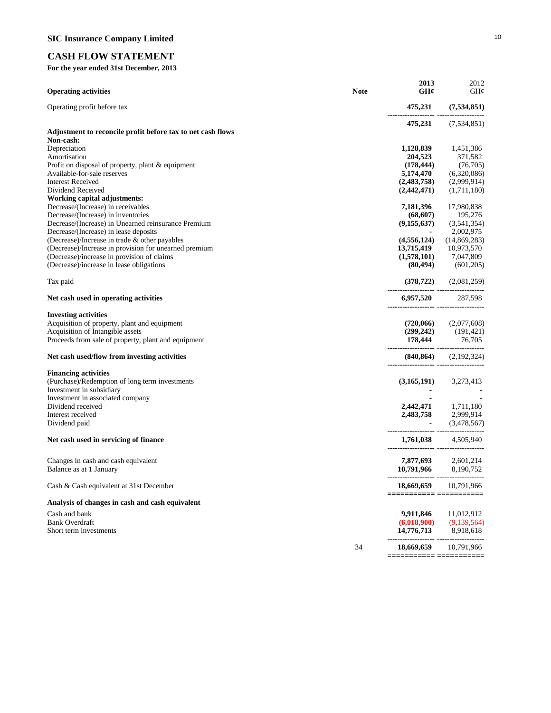# **CASH FLOW STATEMENT**

**For the year ended 31st December, 2013**

| <b>Operating activities</b>                                 | <b>Note</b> | 2013<br>GH¢                           | 2012<br>GH¢                               |
|-------------------------------------------------------------|-------------|---------------------------------------|-------------------------------------------|
| Operating profit before tax                                 |             | 475,231<br>------------------- ---    | (7,534,851)                               |
|                                                             |             | 475,231                               | (7,534,851)                               |
| Adjustment to reconcile profit before tax to net cash flows |             |                                       |                                           |
| Non-cash:                                                   |             |                                       |                                           |
| Depreciation                                                |             | 1,128,839                             | 1,451,386                                 |
| Amortisation                                                |             | 204,523                               | 371,582                                   |
| Profit on disposal of property, plant & equipment           |             | (178, 444)                            | (76, 705)                                 |
| Available-for-sale reserves                                 |             | 5,174,470                             | (6,320,086)                               |
| <b>Interest Received</b>                                    |             | (2,483,758)                           | (2,999,914)                               |
| Dividend Received                                           |             | (2,442,471)                           | (1,711,180)                               |
| Working capital adjustments:                                |             |                                       |                                           |
| Decrease/(Increase) in receivables                          |             | 7,181,396                             | 17,980,838                                |
| Decrease/(Increase) in inventories                          |             | (68, 607)                             | 195,276                                   |
| Decrease/(Increase) in Unearned reinsurance Premium         |             | (9, 155, 637)                         | (3,541,354)                               |
| Decrease/(Increase) in lease deposits                       |             |                                       | 2,002,975                                 |
| (Decrease)/Increase in trade $\&$ other payables            |             | (4, 556, 124)                         | (14,869,283)                              |
| (Decrease)/Increase in provision for unearned premium       |             | 13,715,419                            | 10,973,570                                |
| (Decrease)/increase in provision of claims                  |             | (1,578,101)                           | 7,047,809                                 |
| (Decrease)/increase in lease obligations                    |             | (80, 494)                             | (601, 205)                                |
| Tax paid                                                    |             |                                       | $(378,722)$ $(2,081,259)$                 |
| Net cash used in operating activities                       |             | ------------------- ----------------- | 6,957,520 287,598                         |
| <b>Investing activities</b>                                 |             |                                       |                                           |
| Acquisition of property, plant and equipment                |             |                                       | $(720,066)$ $(2,077,608)$                 |
| Acquisition of Intangible assets                            |             |                                       |                                           |
| Proceeds from sale of property, plant and equipment         |             |                                       | $(299,242)$ $(191,421)$<br>178,444 76,705 |
| Net cash used/flow from investing activities                |             | ----------------- ----------------    | $(840, 864)$ $(2, 192, 324)$              |
| <b>Financing activities</b>                                 |             |                                       |                                           |
| (Purchase)/Redemption of long term investments              |             |                                       | $(3,165,191)$ $3,273,413$                 |
| Investment in subsidiary                                    |             |                                       |                                           |
| Investment in associated company                            |             |                                       |                                           |
| Dividend received                                           |             |                                       | 2,442,471 1,711,180                       |
| Interest received                                           |             |                                       | 2,483,758 2,999,914                       |
| Dividend paid                                               |             | a Santa Barat                         | (3,478,567)                               |
|                                                             |             |                                       |                                           |
| Net cash used in servicing of finance                       |             |                                       | 1,761,038 4,505,940                       |
| Changes in cash and cash equivalent                         |             |                                       | 7,877,693 2,601,214                       |
| Balance as at 1 January                                     |             | 10,791,966 8,190,752                  |                                           |
| Cash & Cash equivalent at 31st December                     |             | 18,669,659                            | 10,791,966                                |
|                                                             |             |                                       |                                           |
| Analysis of changes in cash and cash equivalent             |             |                                       |                                           |
| Cash and bank                                               |             | 9,911,846                             | 11,012,912                                |
| <b>Bank Overdraft</b>                                       |             | (6,018,900)                           | (9,139,564)                               |
| Short term investments                                      |             | 14,776,713                            | 8,918,618                                 |
|                                                             | 34          | 18,669,659                            | 10,791,966                                |
|                                                             |             | =========== =:                        | ========                                  |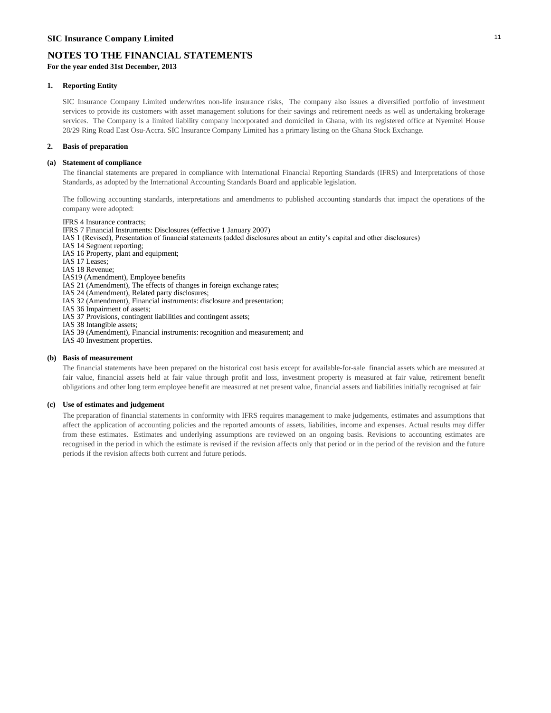**For the year ended 31st December, 2013**

### **1. Reporting Entity**

SIC Insurance Company Limited underwrites non-life insurance risks, The company also issues a diversified portfolio of investment services to provide its customers with asset management solutions for their savings and retirement needs as well as undertaking brokerage services. The Company is a limited liability company incorporated and domiciled in Ghana, with its registered office at Nyemitei House 28/29 Ring Road East Osu-Accra. SIC Insurance Company Limited has a primary listing on the Ghana Stock Exchange.

### **2. Basis of preparation**

### **(a) Statement of compliance**

The financial statements are prepared in compliance with International Financial Reporting Standards (IFRS) and Interpretations of those Standards, as adopted by the International Accounting Standards Board and applicable legislation.

The following accounting standards, interpretations and amendments to published accounting standards that impact the operations of the company were adopted:

IFRS 4 Insurance contracts; IFRS 7 Financial Instruments: Disclosures (effective 1 January 2007) IAS 1 (Revised), Presentation of financial statements (added disclosures about an entity's capital and other disclosures) IAS 14 Segment reporting; IAS 16 Property, plant and equipment; IAS 17 Leases; IAS 18 Revenue; IAS19 (Amendment), Employee benefits IAS 21 (Amendment), The effects of changes in foreign exchange rates; IAS 24 (Amendment), Related party disclosures; IAS 32 (Amendment), Financial instruments: disclosure and presentation; IAS 36 Impairment of assets; IAS 37 Provisions, contingent liabilities and contingent assets; IAS 38 Intangible assets; IAS 39 (Amendment), Financial instruments: recognition and measurement; and IAS 40 Investment properties.

#### **(b) Basis of measurement**

The financial statements have been prepared on the historical cost basis except for available-for-sale financial assets which are measured at fair value, financial assets held at fair value through profit and loss, investment property is measured at fair value, retirement benefit obligations and other long term employee benefit are measured at net present value, financial assets and liabilities initially recognised at fair

### **(c) Use of estimates and judgement**

The preparation of financial statements in conformity with IFRS requires management to make judgements, estimates and assumptions that affect the application of accounting policies and the reported amounts of assets, liabilities, income and expenses. Actual results may differ from these estimates. Estimates and underlying assumptions are reviewed on an ongoing basis. Revisions to accounting estimates are recognised in the period in which the estimate is revised if the revision affects only that period or in the period of the revision and the future periods if the revision affects both current and future periods.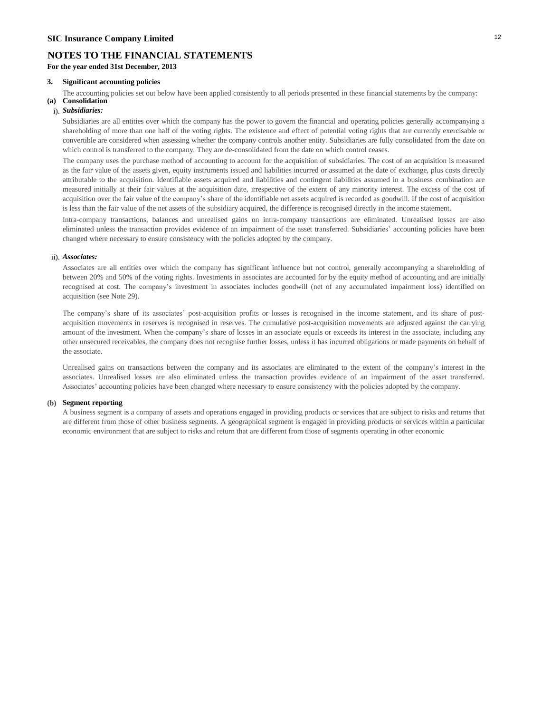### **3. Significant accounting policies**

**(a) Consolidation** The accounting policies set out below have been applied consistently to all periods presented in these financial statements by the company:

## i). *Subsidiaries:*

Subsidiaries are all entities over which the company has the power to govern the financial and operating policies generally accompanying a shareholding of more than one half of the voting rights. The existence and effect of potential voting rights that are currently exercisable or convertible are considered when assessing whether the company controls another entity. Subsidiaries are fully consolidated from the date on which control is transferred to the company. They are de-consolidated from the date on which control ceases.

The company uses the purchase method of accounting to account for the acquisition of subsidiaries. The cost of an acquisition is measured as the fair value of the assets given, equity instruments issued and liabilities incurred or assumed at the date of exchange, plus costs directly attributable to the acquisition. Identifiable assets acquired and liabilities and contingent liabilities assumed in a business combination are measured initially at their fair values at the acquisition date, irrespective of the extent of any minority interest. The excess of the cost of acquisition over the fair value of the company's share of the identifiable net assets acquired is recorded as goodwill. If the cost of acquisition is less than the fair value of the net assets of the subsidiary acquired, the difference is recognised directly in the income statement.

Intra-company transactions, balances and unrealised gains on intra-company transactions are eliminated. Unrealised losses are also eliminated unless the transaction provides evidence of an impairment of the asset transferred. Subsidiaries' accounting policies have been changed where necessary to ensure consistency with the policies adopted by the company.

#### ii). *Associates:*

Associates are all entities over which the company has significant influence but not control, generally accompanying a shareholding of between 20% and 50% of the voting rights. Investments in associates are accounted for by the equity method of accounting and are initially recognised at cost. The company's investment in associates includes goodwill (net of any accumulated impairment loss) identified on acquisition (see Note 29).

The company's share of its associates' post-acquisition profits or losses is recognised in the income statement, and its share of postacquisition movements in reserves is recognised in reserves. The cumulative post-acquisition movements are adjusted against the carrying amount of the investment. When the company's share of losses in an associate equals or exceeds its interest in the associate, including any other unsecured receivables, the company does not recognise further losses, unless it has incurred obligations or made payments on behalf of the associate.

Unrealised gains on transactions between the company and its associates are eliminated to the extent of the company's interest in the associates. Unrealised losses are also eliminated unless the transaction provides evidence of an impairment of the asset transferred. Associates' accounting policies have been changed where necessary to ensure consistency with the policies adopted by the company.

#### **(b) Segment reporting**

A business segment is a company of assets and operations engaged in providing products or services that are subject to risks and returns that are different from those of other business segments. A geographical segment is engaged in providing products or services within a particular economic environment that are subject to risks and return that are different from those of segments operating in other economic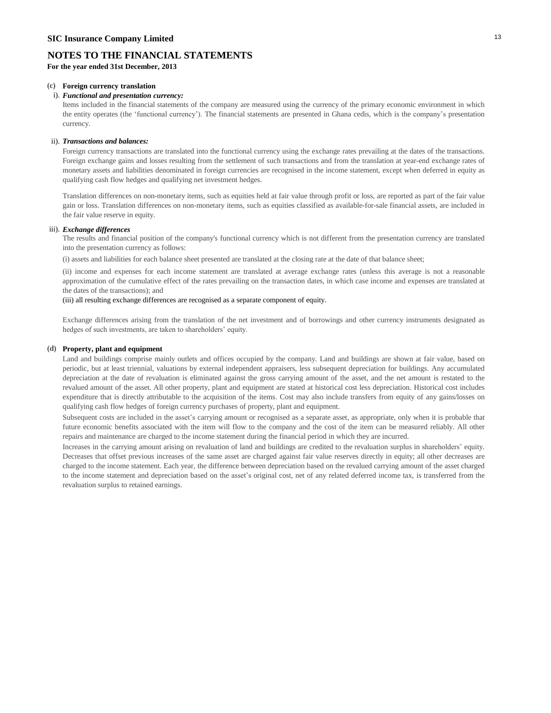**For the year ended 31st December, 2013**

### **(c) Foreign currency translation**

#### i). *Functional and presentation currency:*

Items included in the financial statements of the company are measured using the currency of the primary economic environment in which the entity operates (the 'functional currency'). The financial statements are presented in Ghana cedis, which is the company's presentation currency.

#### ii). *Transactions and balances:*

Foreign currency transactions are translated into the functional currency using the exchange rates prevailing at the dates of the transactions. Foreign exchange gains and losses resulting from the settlement of such transactions and from the translation at year-end exchange rates of monetary assets and liabilities denominated in foreign currencies are recognised in the income statement, except when deferred in equity as qualifying cash flow hedges and qualifying net investment hedges.

Translation differences on non-monetary items, such as equities held at fair value through profit or loss, are reported as part of the fair value gain or loss. Translation differences on non-monetary items, such as equities classified as available-for-sale financial assets, are included in the fair value reserve in equity.

#### iii). *Exchange differences*

The results and financial position of the company's functional currency which is not different from the presentation currency are translated into the presentation currency as follows:

(i) assets and liabilities for each balance sheet presented are translated at the closing rate at the date of that balance sheet;

(ii) income and expenses for each income statement are translated at average exchange rates (unless this average is not a reasonable approximation of the cumulative effect of the rates prevailing on the transaction dates, in which case income and expenses are translated at the dates of the transactions); and

### (iii) all resulting exchange differences are recognised as a separate component of equity.

Exchange differences arising from the translation of the net investment and of borrowings and other currency instruments designated as hedges of such investments, are taken to shareholders' equity.

#### **(d) Property, plant and equipment**

Land and buildings comprise mainly outlets and offices occupied by the company. Land and buildings are shown at fair value, based on periodic, but at least triennial, valuations by external independent appraisers, less subsequent depreciation for buildings. Any accumulated depreciation at the date of revaluation is eliminated against the gross carrying amount of the asset, and the net amount is restated to the revalued amount of the asset. All other property, plant and equipment are stated at historical cost less depreciation. Historical cost includes expenditure that is directly attributable to the acquisition of the items. Cost may also include transfers from equity of any gains/losses on qualifying cash flow hedges of foreign currency purchases of property, plant and equipment.

Subsequent costs are included in the asset's carrying amount or recognised as a separate asset, as appropriate, only when it is probable that future economic benefits associated with the item will flow to the company and the cost of the item can be measured reliably. All other repairs and maintenance are charged to the income statement during the financial period in which they are incurred.

Increases in the carrying amount arising on revaluation of land and buildings are credited to the revaluation surplus in shareholders' equity. Decreases that offset previous increases of the same asset are charged against fair value reserves directly in equity; all other decreases are charged to the income statement. Each year, the difference between depreciation based on the revalued carrying amount of the asset charged to the income statement and depreciation based on the asset's original cost, net of any related deferred income tax, is transferred from the revaluation surplus to retained earnings.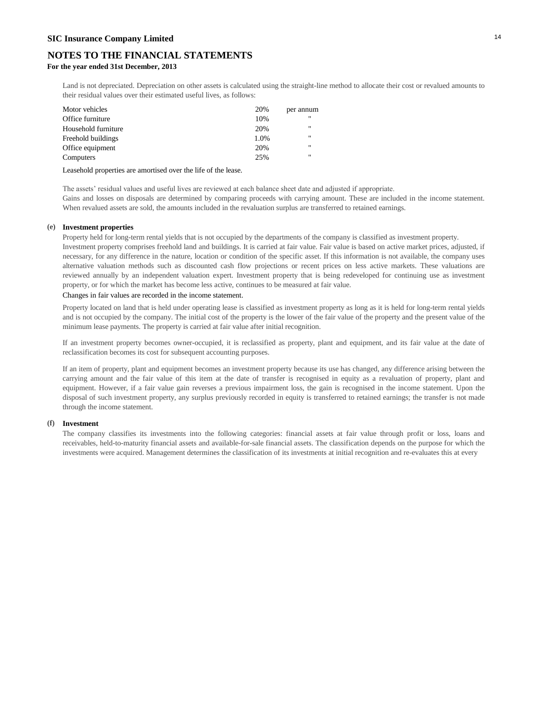**For the year ended 31st December, 2013**

Land is not depreciated. Depreciation on other assets is calculated using the straight-line method to allocate their cost or revalued amounts to their residual values over their estimated useful lives, as follows:

| 20%  | per annum    |
|------|--------------|
| 10%  |              |
| 20%  |              |
| 1.0% | $\mathbf{H}$ |
| 20%  | $\mathbf{u}$ |
| 25%  |              |
|      |              |

Leasehold properties are amortised over the life of the lease.

The assets' residual values and useful lives are reviewed at each balance sheet date and adjusted if appropriate. Gains and losses on disposals are determined by comparing proceeds with carrying amount. These are included in the income statement. When revalued assets are sold, the amounts included in the revaluation surplus are transferred to retained earnings.

#### **(e) Investment properties**

Property held for long-term rental yields that is not occupied by the departments of the company is classified as investment property.

Investment property comprises freehold land and buildings. It is carried at fair value. Fair value is based on active market prices, adjusted, if necessary, for any difference in the nature, location or condition of the specific asset. If this information is not available, the company uses alternative valuation methods such as discounted cash flow projections or recent prices on less active markets. These valuations are reviewed annually by an independent valuation expert. Investment property that is being redeveloped for continuing use as investment property, or for which the market has become less active, continues to be measured at fair value.

#### Changes in fair values are recorded in the income statement.

Property located on land that is held under operating lease is classified as investment property as long as it is held for long-term rental yields and is not occupied by the company. The initial cost of the property is the lower of the fair value of the property and the present value of the minimum lease payments. The property is carried at fair value after initial recognition.

If an investment property becomes owner-occupied, it is reclassified as property, plant and equipment, and its fair value at the date of reclassification becomes its cost for subsequent accounting purposes.

If an item of property, plant and equipment becomes an investment property because its use has changed, any difference arising between the carrying amount and the fair value of this item at the date of transfer is recognised in equity as a revaluation of property, plant and equipment. However, if a fair value gain reverses a previous impairment loss, the gain is recognised in the income statement. Upon the disposal of such investment property, any surplus previously recorded in equity is transferred to retained earnings; the transfer is not made through the income statement.

#### **(f) Investment**

The company classifies its investments into the following categories: financial assets at fair value through profit or loss, loans and receivables, held-to-maturity financial assets and available-for-sale financial assets. The classification depends on the purpose for which the investments were acquired. Management determines the classification of its investments at initial recognition and re-evaluates this at every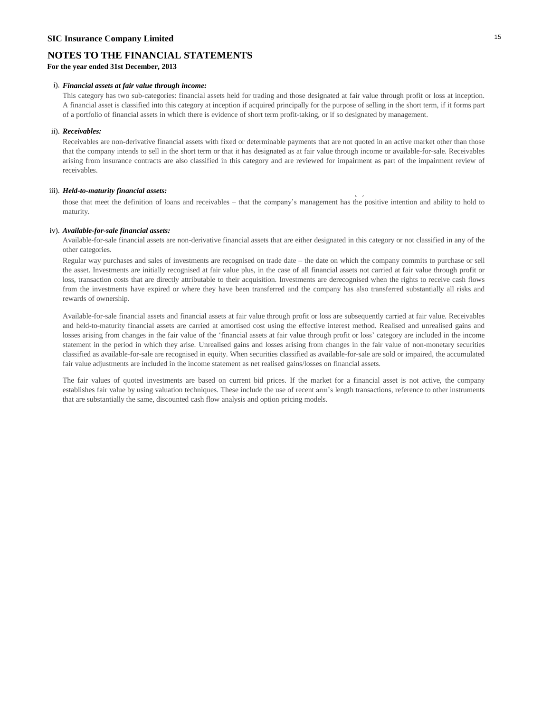### **SIC Insurance Company Limited** <sup>15</sup>

### **NOTES TO THE FINANCIAL STATEMENTS**

**For the year ended 31st December, 2013**

#### i). *Financial assets at fair value through income:*

This category has two sub-categories: financial assets held for trading and those designated at fair value through profit or loss at inception. A financial asset is classified into this category at inception if acquired principally for the purpose of selling in the short term, if it forms part of a portfolio of financial assets in which there is evidence of short term profit-taking, or if so designated by management.

#### ii). *Receivables:*

Receivables are non-derivative financial assets with fixed or determinable payments that are not quoted in an active market other than those that the company intends to sell in the short term or that it has designated as at fair value through income or available-for-sale. Receivables arising from insurance contracts are also classified in this category and are reviewed for impairment as part of the impairment review of receivables.

### iii). *Held-to-maturity financial assets:* Helderto-maturities with financial assets are non-derivative financial assets with financial assets: Helderto-maturities –other than fixed maturities –other than fixed maturities

those that meet the definition of loans and receivables – that the company's management has the positive intention and ability to hold to maturity.

#### iv). *Available-for-sale financial assets:*

Available-for-sale financial assets are non-derivative financial assets that are either designated in this category or not classified in any of the other categories.

Regular way purchases and sales of investments are recognised on trade date – the date on which the company commits to purchase or sell the asset. Investments are initially recognised at fair value plus, in the case of all financial assets not carried at fair value through profit or loss, transaction costs that are directly attributable to their acquisition. Investments are derecognised when the rights to receive cash flows from the investments have expired or where they have been transferred and the company has also transferred substantially all risks and rewards of ownership.

Available-for-sale financial assets and financial assets at fair value through profit or loss are subsequently carried at fair value. Receivables and held-to-maturity financial assets are carried at amortised cost using the effective interest method. Realised and unrealised gains and losses arising from changes in the fair value of the 'financial assets at fair value through profit or loss' category are included in the income statement in the period in which they arise. Unrealised gains and losses arising from changes in the fair value of non-monetary securities classified as available-for-sale are recognised in equity. When securities classified as available-for-sale are sold or impaired, the accumulated fair value adjustments are included in the income statement as net realised gains/losses on financial assets.

The fair values of quoted investments are based on current bid prices. If the market for a financial asset is not active, the company establishes fair value by using valuation techniques. These include the use of recent arm's length transactions, reference to other instruments that are substantially the same, discounted cash flow analysis and option pricing models.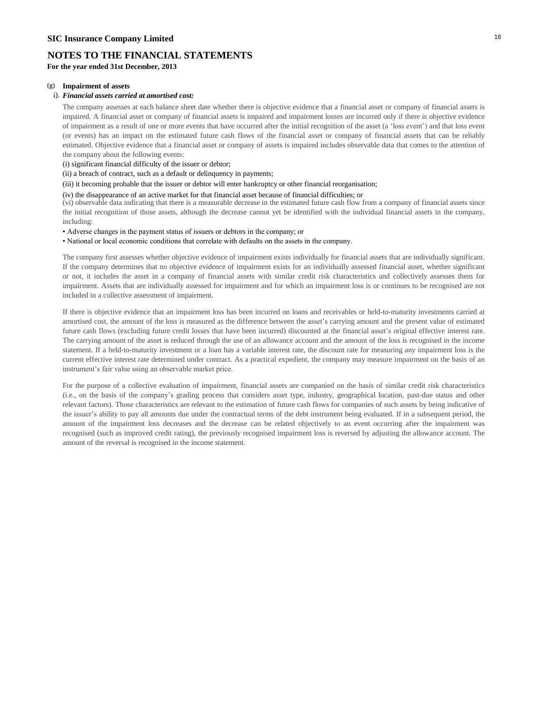**For the year ended 31st December, 2013**

#### **(g) Impairment of assets**

#### i). *Financial assets carried at amortised cost:*

The company assesses at each balance sheet date whether there is objective evidence that a financial asset or company of financial assets is impaired. A financial asset or company of financial assets is impaired and impairment losses are incurred only if there is objective evidence of impairment as a result of one or more events that have occurred after the initial recognition of the asset (a 'loss event') and that loss event (or events) has an impact on the estimated future cash flows of the financial asset or company of financial assets that can be reliably estimated. Objective evidence that a financial asset or company of assets is impaired includes observable data that comes to the attention of the company about the following events:

(i) significant financial difficulty of the issuer or debtor;

(ii) a breach of contract, such as a default or delinquency in payments;

- (iii) it becoming probable that the issuer or debtor will enter bankruptcy or other financial reorganisation;
- (iv) the disappearance of an active market for that financial asset because of financial difficulties; or

(vi) observable data indicating that there is a measurable decrease in the estimated future cash flow from a company of financial assets since the initial recognition of those assets, although the decrease cannot yet be identified with the individual financial assets in the company, including:

• Adverse changes in the payment status of issuers or debtors in the company; or

• National or local economic conditions that correlate with defaults on the assets in the company.

The company first assesses whether objective evidence of impairment exists individually for financial assets that are individually significant. If the company determines that no objective evidence of impairment exists for an individually assessed financial asset, whether significant or not, it includes the asset in a company of financial assets with similar credit risk characteristics and collectively assesses them for impairment. Assets that are individually assessed for impairment and for which an impairment loss is or continues to be recognised are not included in a collective assessment of impairment.

If there is objective evidence that an impairment loss has been incurred on loans and receivables or held-to-maturity investments carried at amortised cost, the amount of the loss is measured as the difference between the asset's carrying amount and the present value of estimated future cash flows (excluding future credit losses that have been incurred) discounted at the financial asset's original effective interest rate. The carrying amount of the asset is reduced through the use of an allowance account and the amount of the loss is recognised in the income statement. If a held-to-maturity investment or a loan has a variable interest rate, the discount rate for measuring any impairment loss is the current effective interest rate determined under contract. As a practical expedient, the company may measure impairment on the basis of an instrument's fair value using an observable market price.

For the purpose of a collective evaluation of impairment, financial assets are companied on the basis of similar credit risk characteristics (i.e., on the basis of the company's grading process that considers asset type, industry, geographical location, past-due status and other relevant factors). Those characteristics are relevant to the estimation of future cash flows for companies of such assets by being indicative of the issuer's ability to pay all amounts due under the contractual terms of the debt instrument being evaluated. If in a subsequent period, the amount of the impairment loss decreases and the decrease can be related objectively to an event occurring after the impairment was recognised (such as improved credit rating), the previously recognised impairment loss is reversed by adjusting the allowance account. The amount of the reversal is recognised in the income statement.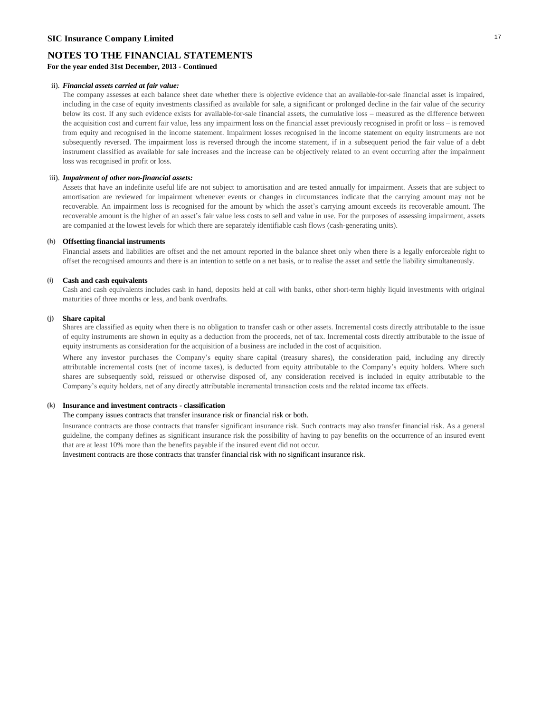**For the year ended 31st December, 2013 - Continued**

#### ii). *Financial assets carried at fair value:*

The company assesses at each balance sheet date whether there is objective evidence that an available-for-sale financial asset is impaired, including in the case of equity investments classified as available for sale, a significant or prolonged decline in the fair value of the security below its cost. If any such evidence exists for available-for-sale financial assets, the cumulative loss – measured as the difference between the acquisition cost and current fair value, less any impairment loss on the financial asset previously recognised in profit or loss – is removed from equity and recognised in the income statement. Impairment losses recognised in the income statement on equity instruments are not subsequently reversed. The impairment loss is reversed through the income statement, if in a subsequent period the fair value of a debt instrument classified as available for sale increases and the increase can be objectively related to an event occurring after the impairment loss was recognised in profit or loss.

#### iii). *Impairment of other non-financial assets:*

Assets that have an indefinite useful life are not subject to amortisation and are tested annually for impairment. Assets that are subject to amortisation are reviewed for impairment whenever events or changes in circumstances indicate that the carrying amount may not be recoverable. An impairment loss is recognised for the amount by which the asset's carrying amount exceeds its recoverable amount. The recoverable amount is the higher of an asset's fair value less costs to sell and value in use. For the purposes of assessing impairment, assets are companied at the lowest levels for which there are separately identifiable cash flows (cash-generating units).

#### **(h) Offsetting financial instruments**

Financial assets and liabilities are offset and the net amount reported in the balance sheet only when there is a legally enforceable right to offset the recognised amounts and there is an intention to settle on a net basis, or to realise the asset and settle the liability simultaneously.

#### **(i) Cash and cash equivalents**

Cash and cash equivalents includes cash in hand, deposits held at call with banks, other short-term highly liquid investments with original maturities of three months or less, and bank overdrafts.

#### **(j) Share capital**

Shares are classified as equity when there is no obligation to transfer cash or other assets. Incremental costs directly attributable to the issue of equity instruments are shown in equity as a deduction from the proceeds, net of tax. Incremental costs directly attributable to the issue of equity instruments as consideration for the acquisition of a business are included in the cost of acquisition.

Where any investor purchases the Company's equity share capital (treasury shares), the consideration paid, including any directly attributable incremental costs (net of income taxes), is deducted from equity attributable to the Company's equity holders. Where such shares are subsequently sold, reissued or otherwise disposed of, any consideration received is included in equity attributable to the Company's equity holders, net of any directly attributable incremental transaction costs and the related income tax effects.

#### **(k) Insurance and investment contracts - classification**

### The company issues contracts that transfer insurance risk or financial risk or both.

Insurance contracts are those contracts that transfer significant insurance risk. Such contracts may also transfer financial risk. As a general guideline, the company defines as significant insurance risk the possibility of having to pay benefits on the occurrence of an insured event that are at least 10% more than the benefits payable if the insured event did not occur.

Investment contracts are those contracts that transfer financial risk with no significant insurance risk.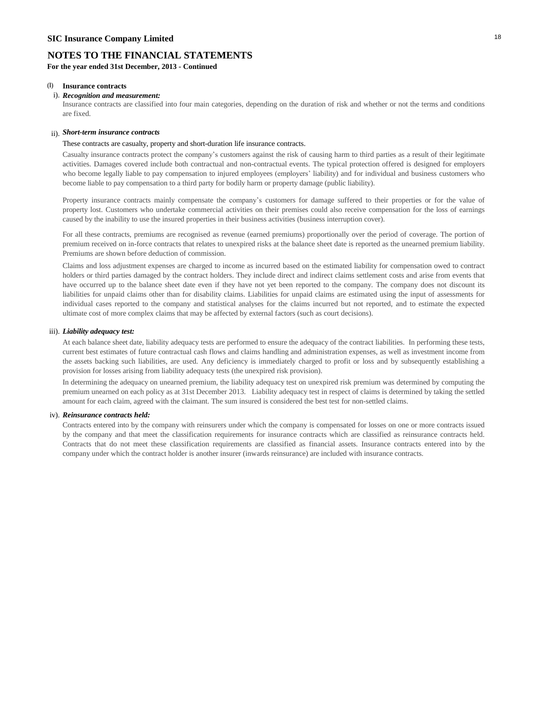**For the year ended 31st December, 2013 - Continued**

#### **(l) Insurance contracts**

#### i). *Recognition and measurement:*

Insurance contracts are classified into four main categories, depending on the duration of risk and whether or not the terms and conditions are fixed.

### ii). *Short-term insurance contracts*

These contracts are casualty, property and short-duration life insurance contracts.

Casualty insurance contracts protect the company's customers against the risk of causing harm to third parties as a result of their legitimate activities. Damages covered include both contractual and non-contractual events. The typical protection offered is designed for employers who become legally liable to pay compensation to injured employees (employers' liability) and for individual and business customers who become liable to pay compensation to a third party for bodily harm or property damage (public liability).

Property insurance contracts mainly compensate the company's customers for damage suffered to their properties or for the value of property lost. Customers who undertake commercial activities on their premises could also receive compensation for the loss of earnings caused by the inability to use the insured properties in their business activities (business interruption cover).

For all these contracts, premiums are recognised as revenue (earned premiums) proportionally over the period of coverage. The portion of premium received on in-force contracts that relates to unexpired risks at the balance sheet date is reported as the unearned premium liability. Premiums are shown before deduction of commission.

Claims and loss adjustment expenses are charged to income as incurred based on the estimated liability for compensation owed to contract holders or third parties damaged by the contract holders. They include direct and indirect claims settlement costs and arise from events that have occurred up to the balance sheet date even if they have not yet been reported to the company. The company does not discount its liabilities for unpaid claims other than for disability claims. Liabilities for unpaid claims are estimated using the input of assessments for individual cases reported to the company and statistical analyses for the claims incurred but not reported, and to estimate the expected ultimate cost of more complex claims that may be affected by external factors (such as court decisions).

#### iii). *Liability adequacy test:*

At each balance sheet date, liability adequacy tests are performed to ensure the adequacy of the contract liabilities. In performing these tests, current best estimates of future contractual cash flows and claims handling and administration expenses, as well as investment income from the assets backing such liabilities, are used. Any deficiency is immediately charged to profit or loss and by subsequently establishing a provision for losses arising from liability adequacy tests (the unexpired risk provision).

In determining the adequacy on unearned premium, the liability adequacy test on unexpired risk premium was determined by computing the premium unearned on each policy as at 31st December 2013. Liability adequacy test in respect of claims is determined by taking the settled amount for each claim, agreed with the claimant. The sum insured is considered the best test for non-settled claims.

#### iv). *Reinsurance contracts held:*

Contracts entered into by the company with reinsurers under which the company is compensated for losses on one or more contracts issued by the company and that meet the classification requirements for insurance contracts which are classified as reinsurance contracts held. Contracts that do not meet these classification requirements are classified as financial assets. Insurance contracts entered into by the company under which the contract holder is another insurer (inwards reinsurance) are included with insurance contracts.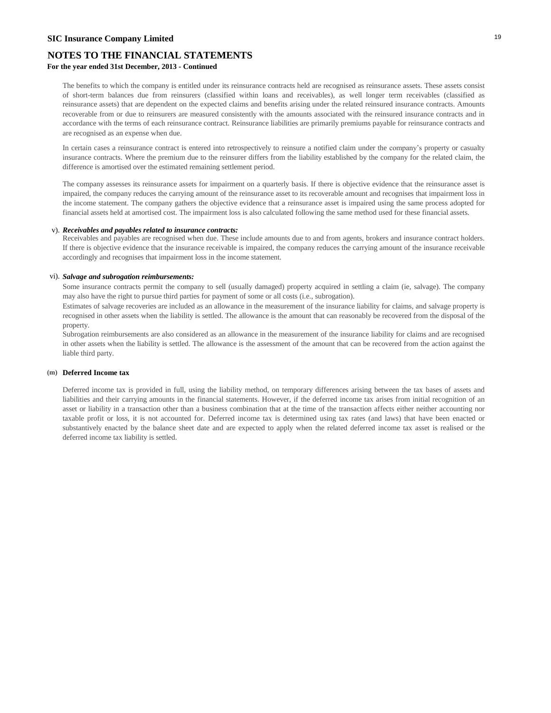### **SIC Insurance Company Limited** <sup>19</sup>

### **NOTES TO THE FINANCIAL STATEMENTS**

### **For the year ended 31st December, 2013 - Continued**

The benefits to which the company is entitled under its reinsurance contracts held are recognised as reinsurance assets. These assets consist of short-term balances due from reinsurers (classified within loans and receivables), as well longer term receivables (classified as reinsurance assets) that are dependent on the expected claims and benefits arising under the related reinsured insurance contracts. Amounts recoverable from or due to reinsurers are measured consistently with the amounts associated with the reinsured insurance contracts and in accordance with the terms of each reinsurance contract. Reinsurance liabilities are primarily premiums payable for reinsurance contracts and are recognised as an expense when due.

In certain cases a reinsurance contract is entered into retrospectively to reinsure a notified claim under the company's property or casualty insurance contracts. Where the premium due to the reinsurer differs from the liability established by the company for the related claim, the difference is amortised over the estimated remaining settlement period.

The company assesses its reinsurance assets for impairment on a quarterly basis. If there is objective evidence that the reinsurance asset is impaired, the company reduces the carrying amount of the reinsurance asset to its recoverable amount and recognises that impairment loss in the income statement. The company gathers the objective evidence that a reinsurance asset is impaired using the same process adopted for financial assets held at amortised cost. The impairment loss is also calculated following the same method used for these financial assets.

#### v). *Receivables and payables related to insurance contracts:*

Receivables and payables are recognised when due. These include amounts due to and from agents, brokers and insurance contract holders. If there is objective evidence that the insurance receivable is impaired, the company reduces the carrying amount of the insurance receivable accordingly and recognises that impairment loss in the income statement.

#### vi). *Salvage and subrogation reimbursements:*

Some insurance contracts permit the company to sell (usually damaged) property acquired in settling a claim (ie, salvage). The company may also have the right to pursue third parties for payment of some or all costs (i.e., subrogation).

Estimates of salvage recoveries are included as an allowance in the measurement of the insurance liability for claims, and salvage property is recognised in other assets when the liability is settled. The allowance is the amount that can reasonably be recovered from the disposal of the property.

Subrogation reimbursements are also considered as an allowance in the measurement of the insurance liability for claims and are recognised in other assets when the liability is settled. The allowance is the assessment of the amount that can be recovered from the action against the liable third party.

#### **(m) Deferred Income tax**

Deferred income tax is provided in full, using the liability method, on temporary differences arising between the tax bases of assets and liabilities and their carrying amounts in the financial statements. However, if the deferred income tax arises from initial recognition of an asset or liability in a transaction other than a business combination that at the time of the transaction affects either neither accounting nor taxable profit or loss, it is not accounted for. Deferred income tax is determined using tax rates (and laws) that have been enacted or substantively enacted by the balance sheet date and are expected to apply when the related deferred income tax asset is realised or the deferred income tax liability is settled.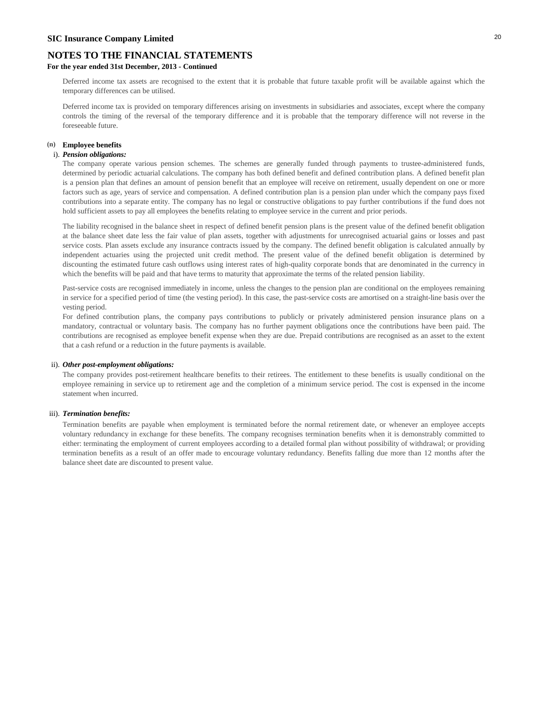### **For the year ended 31st December, 2013 - Continued**

Deferred income tax assets are recognised to the extent that it is probable that future taxable profit will be available against which the temporary differences can be utilised.

Deferred income tax is provided on temporary differences arising on investments in subsidiaries and associates, except where the company controls the timing of the reversal of the temporary difference and it is probable that the temporary difference will not reverse in the foreseeable future.

#### **(n) Employee benefits**

#### i). *Pension obligations:*

The company operate various pension schemes. The schemes are generally funded through payments to trustee-administered funds, determined by periodic actuarial calculations. The company has both defined benefit and defined contribution plans. A defined benefit plan is a pension plan that defines an amount of pension benefit that an employee will receive on retirement, usually dependent on one or more factors such as age, years of service and compensation. A defined contribution plan is a pension plan under which the company pays fixed contributions into a separate entity. The company has no legal or constructive obligations to pay further contributions if the fund does not hold sufficient assets to pay all employees the benefits relating to employee service in the current and prior periods.

The liability recognised in the balance sheet in respect of defined benefit pension plans is the present value of the defined benefit obligation at the balance sheet date less the fair value of plan assets, together with adjustments for unrecognised actuarial gains or losses and past service costs. Plan assets exclude any insurance contracts issued by the company. The defined benefit obligation is calculated annually by independent actuaries using the projected unit credit method. The present value of the defined benefit obligation is determined by discounting the estimated future cash outflows using interest rates of high-quality corporate bonds that are denominated in the currency in which the benefits will be paid and that have terms to maturity that approximate the terms of the related pension liability.

Past-service costs are recognised immediately in income, unless the changes to the pension plan are conditional on the employees remaining in service for a specified period of time (the vesting period). In this case, the past-service costs are amortised on a straight-line basis over the vesting period.

For defined contribution plans, the company pays contributions to publicly or privately administered pension insurance plans on a mandatory, contractual or voluntary basis. The company has no further payment obligations once the contributions have been paid. The contributions are recognised as employee benefit expense when they are due. Prepaid contributions are recognised as an asset to the extent that a cash refund or a reduction in the future payments is available.

#### ii). *Other post-employment obligations:*

The company provides post-retirement healthcare benefits to their retirees. The entitlement to these benefits is usually conditional on the employee remaining in service up to retirement age and the completion of a minimum service period. The cost is expensed in the income statement when incurred.

#### iii). *Termination benefits:*

Termination benefits are payable when employment is terminated before the normal retirement date, or whenever an employee accepts voluntary redundancy in exchange for these benefits. The company recognises termination benefits when it is demonstrably committed to either: terminating the employment of current employees according to a detailed formal plan without possibility of withdrawal; or providing termination benefits as a result of an offer made to encourage voluntary redundancy. Benefits falling due more than 12 months after the balance sheet date are discounted to present value.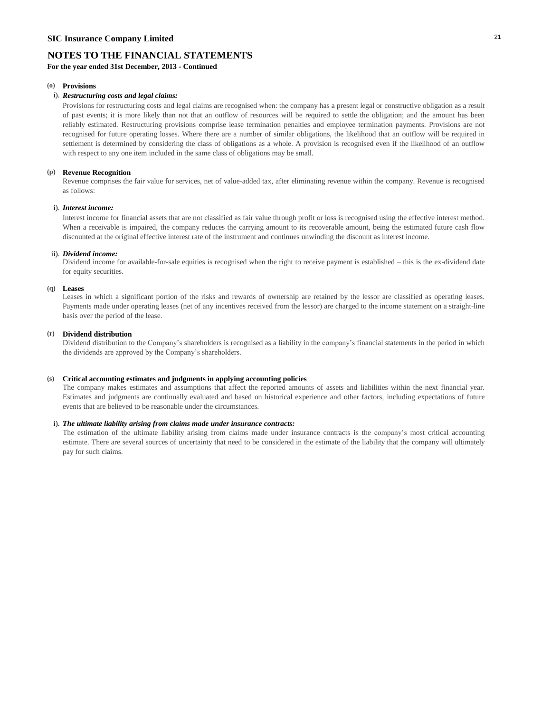**For the year ended 31st December, 2013 - Continued**

### **(o) Provisions**

#### i). *Restructuring costs and legal claims:*

Provisions for restructuring costs and legal claims are recognised when: the company has a present legal or constructive obligation as a result of past events; it is more likely than not that an outflow of resources will be required to settle the obligation; and the amount has been reliably estimated. Restructuring provisions comprise lease termination penalties and employee termination payments. Provisions are not recognised for future operating losses. Where there are a number of similar obligations, the likelihood that an outflow will be required in settlement is determined by considering the class of obligations as a whole. A provision is recognised even if the likelihood of an outflow with respect to any one item included in the same class of obligations may be small.

#### **(p) Revenue Recognition**

Revenue comprises the fair value for services, net of value-added tax, after eliminating revenue within the company. Revenue is recognised as follows:

#### i). *Interest income:*

Interest income for financial assets that are not classified as fair value through profit or loss is recognised using the effective interest method. When a receivable is impaired, the company reduces the carrying amount to its recoverable amount, being the estimated future cash flow discounted at the original effective interest rate of the instrument and continues unwinding the discount as interest income.

#### ii). *Dividend income:*

Dividend income for available-for-sale equities is recognised when the right to receive payment is established – this is the ex-dividend date for equity securities.

#### **(q) Leases**

Leases in which a significant portion of the risks and rewards of ownership are retained by the lessor are classified as operating leases. Payments made under operating leases (net of any incentives received from the lessor) are charged to the income statement on a straight-line basis over the period of the lease.

#### **(r) Dividend distribution**

Dividend distribution to the Company's shareholders is recognised as a liability in the company's financial statements in the period in which the dividends are approved by the Company's shareholders.

#### **(s) Critical accounting estimates and judgments in applying accounting policies**

The company makes estimates and assumptions that affect the reported amounts of assets and liabilities within the next financial year. Estimates and judgments are continually evaluated and based on historical experience and other factors, including expectations of future events that are believed to be reasonable under the circumstances.

#### i). *The ultimate liability arising from claims made under insurance contracts:*

The estimation of the ultimate liability arising from claims made under insurance contracts is the company's most critical accounting estimate. There are several sources of uncertainty that need to be considered in the estimate of the liability that the company will ultimately pay for such claims.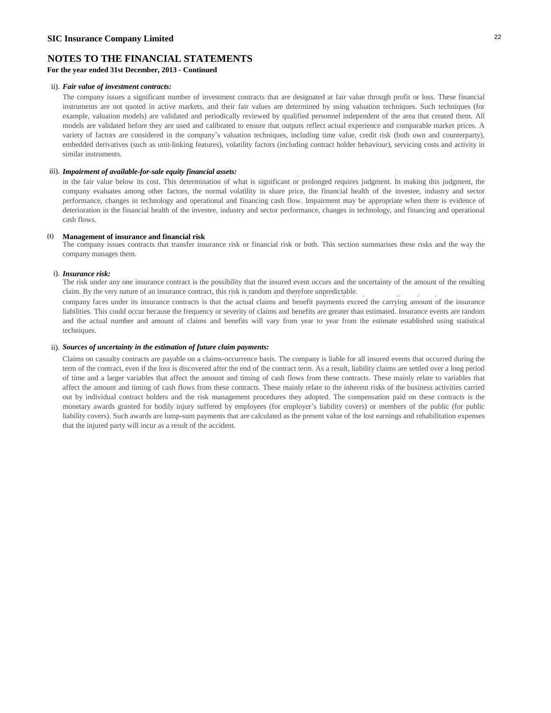**For the year ended 31st December, 2013 - Continued**

#### ii). *Fair value of investment contracts:*

The company issues a significant number of investment contracts that are designated at fair value through profit or loss. These financial instruments are not quoted in active markets, and their fair values are determined by using valuation techniques. Such techniques (for example, valuation models) are validated and periodically reviewed by qualified personnel independent of the area that created them. All models are validated before they are used and calibrated to ensure that outputs reflect actual experience and comparable market prices. A variety of factors are considered in the company's valuation techniques, including time value, credit risk (both own and counterparty), embedded derivatives (such as unit-linking features), volatility factors (including contract holder behaviour), servicing costs and activity in similar instruments.

### iii). Impairment of available-for-sale equity financial assets: The company determines that available-for-sale equity financial assets:

in the fair value below its cost. This determination of what is significant or prolonged requires judgment. In making this judgment, the company evaluates among other factors, the normal volatility in share price, the financial health of the investee, industry and sector performance, changes in technology and operational and financing cash flow. Impairment may be appropriate when there is evidence of deterioration in the financial health of the investee, industry and sector performance, changes in technology, and financing and operational cash flows.

#### **(t) Management of insurance and financial risk**

The company issues contracts that transfer insurance risk or financial risk or both. This section summarises these risks and the way the company manages them.

#### i). *Insurance risk:*

The risk under any one insurance contract is the possibility that the insured event occurs and the uncertainty of the amount of the resulting claim. By the very nature of an insurance contract, this risk is random and therefore unpredictable.

company faces under its insurance contracts is that the actual claims and benefit payments exceed the carrying amount of the insurance liabilities. This could occur because the frequency or severity of claims and benefits are greater than estimated. Insurance events are random and the actual number and amount of claims and benefits will vary from year to year from the estimate established using statistical techniques.

#### ii). *Sources of uncertainty in the estimation of future claim payments:*

Claims on casualty contracts are payable on a claims-occurrence basis. The company is liable for all insured events that occurred during the term of the contract, even if the loss is discovered after the end of the contract term. As a result, liability claims are settled over a long period of time and a larger variables that affect the amount and timing of cash flows from these contracts. These mainly relate to variables that affect the amount and timing of cash flows from these contracts. These mainly relate to the inherent risks of the business activities carried out by individual contract holders and the risk management procedures they adopted. The compensation paid on these contracts is the monetary awards granted for bodily injury suffered by employees (for employer's liability covers) or members of the public (for public liability covers). Such awards are lump-sum payments that are calculated as the present value of the lost earnings and rehabilitation expenses that the injured party will incur as a result of the accident.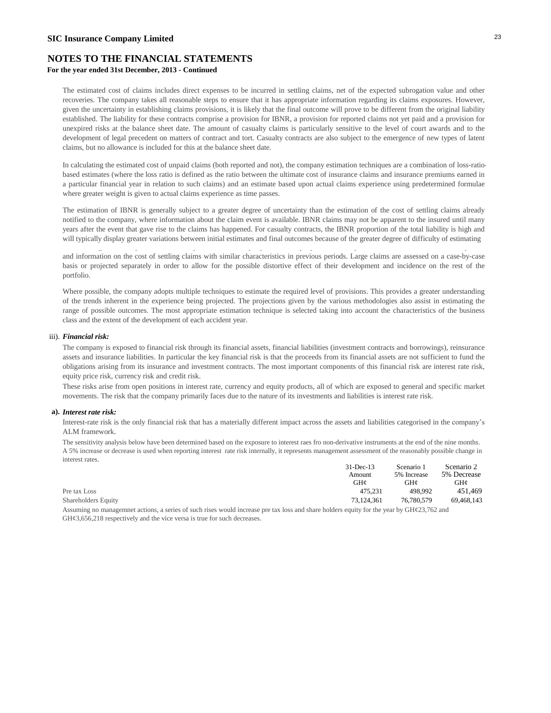### **For the year ended 31st December, 2013 - Continued**

The estimated cost of claims includes direct expenses to be incurred in settling claims, net of the expected subrogation value and other recoveries. The company takes all reasonable steps to ensure that it has appropriate information regarding its claims exposures. However, given the uncertainty in establishing claims provisions, it is likely that the final outcome will prove to be different from the original liability established. The liability for these contracts comprise a provision for IBNR, a provision for reported claims not yet paid and a provision for unexpired risks at the balance sheet date. The amount of casualty claims is particularly sensitive to the level of court awards and to the development of legal precedent on matters of contract and tort. Casualty contracts are also subject to the emergence of new types of latent claims, but no allowance is included for this at the balance sheet date.

In calculating the estimated cost of unpaid claims (both reported and not), the company estimation techniques are a combination of loss-ratiobased estimates (where the loss ratio is defined as the ratio between the ultimate cost of insurance claims and insurance premiums earned in a particular financial year in relation to such claims) and an estimate based upon actual claims experience using predetermined formulae where greater weight is given to actual claims experience as time passes.

The estimation of IBNR is generally subject to a greater degree of uncertainty than the estimation of the cost of settling claims already notified to the company, where information about the claim event is available. IBNR claims may not be apparent to the insured until many years after the event that gave rise to the claims has happened. For casualty contracts, the IBNR proportion of the total liability is high and will typically display greater variations between initial estimates and final outcomes because of the greater degree of difficulty of estimating

and information on the cost of settling claims with similar characteristics in previous periods. Large claims are assessed on a case-by-case basis or projected separately in order to allow for the possible distortive effect of their development and incidence on the rest of the portfolio.

In estimating the liability for the cost of reported claims not yet paid the company considers any information available from loss adjusters

Where possible, the company adopts multiple techniques to estimate the required level of provisions. This provides a greater understanding of the trends inherent in the experience being projected. The projections given by the various methodologies also assist in estimating the range of possible outcomes. The most appropriate estimation technique is selected taking into account the characteristics of the business class and the extent of the development of each accident year.

#### iii). *Financial risk:*

The company is exposed to financial risk through its financial assets, financial liabilities (investment contracts and borrowings), reinsurance assets and insurance liabilities. In particular the key financial risk is that the proceeds from its financial assets are not sufficient to fund the obligations arising from its insurance and investment contracts. The most important components of this financial risk are interest rate risk, equity price risk, currency risk and credit risk.

These risks arise from open positions in interest rate, currency and equity products, all of which are exposed to general and specific market movements. The risk that the company primarily faces due to the nature of its investments and liabilities is interest rate risk.

#### **a).** *Interest rate risk:*

Interest-rate risk is the only financial risk that has a materially different impact across the assets and liabilities categorised in the company's ALM framework.

The sensitivity analysis below have been determined based on the exposure to interest raes fro non-derivative instruments at the end of the nine months. A 5% increase or decrease is used when reporting interest rate risk internally, it represents management assessment of the reasonably possible change in interest rates.

|                     | $31$ -Dec-13 | Scenario 1  | Scenario 2  |
|---------------------|--------------|-------------|-------------|
|                     | Amount       | 5% Increase | 5% Decrease |
|                     | GHz          | GHC         | GHz         |
| Pre tax Loss        | 475.231      | 498.992     | 451.469     |
| Shareholders Equity | 73.124.361   | 76,780,579  | 69.468.143  |

Assuming no managemnet actions, a series of such rises would increase pre tax loss and share holders equity for the year by GH¢23,762 and  $GH\mathcal{G}3,656,218$  respectively and the vice versa is true for such decreases.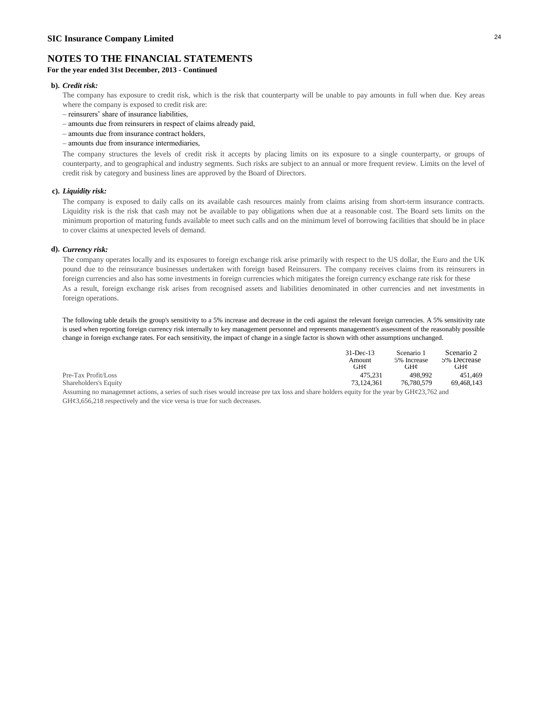### **For the year ended 31st December, 2013 - Continued**

#### **b).** *Credit risk:*

The company has exposure to credit risk, which is the risk that counterparty will be unable to pay amounts in full when due. Key areas where the company is exposed to credit risk are:

- reinsurers' share of insurance liabilities,
- amounts due from reinsurers in respect of claims already paid,
- amounts due from insurance contract holders,
- amounts due from insurance intermediaries,

The company structures the levels of credit risk it accepts by placing limits on its exposure to a single counterparty, or groups of counterparty, and to geographical and industry segments. Such risks are subject to an annual or more frequent review. Limits on the level of credit risk by category and business lines are approved by the Board of Directors.

#### **c).** *Liquidity risk:*

The company is exposed to daily calls on its available cash resources mainly from claims arising from short-term insurance contracts. Liquidity risk is the risk that cash may not be available to pay obligations when due at a reasonable cost. The Board sets limits on the minimum proportion of maturing funds available to meet such calls and on the minimum level of borrowing facilities that should be in place to cover claims at unexpected levels of demand.

#### **d).** *Currency risk:*

The company operates locally and its exposures to foreign exchange risk arise primarily with respect to the US dollar, the Euro and the UK pound due to the reinsurance businesses undertaken with foreign based Reinsurers. The company receives claims from its reinsurers in foreign currencies and also has some investments in foreign currencies which mitigates the foreign currency exchange rate risk for these As a result, foreign exchange risk arises from recognised assets and liabilities denominated in other currencies and net investments in foreign operations.

The following table details the group's sensitivity to a 5% increase and decrease in the cedi against the relevant foreign currencies. A 5% sensitivity rate is used when reporting foreign currency risk internally to key management personnel and represents managementt's assessment of the reasonably possible change in foreign exchange rates. For each sensitivity, the impact of change in a single factor is shown with other assumptions unchanged.

|                                                                                                                                          | $31$ -Dec-13 | Scenario 1  | Scenario 2  |
|------------------------------------------------------------------------------------------------------------------------------------------|--------------|-------------|-------------|
|                                                                                                                                          | Amount       | 5% Increase | 5% Decrease |
|                                                                                                                                          | GH¢          | GH¢         | GH¢         |
| Pre-Tax Profit/Loss                                                                                                                      | 475.231      | 498.992     | 451.469     |
| Shareholders's Equity                                                                                                                    | 73.124.361   | 76,780,579  | 69.468.143  |
| Aggregate to management options, a same of such rises would increase rea toy loss and shore bolders county for the year by CH+22 762 and |              |             |             |

Assuming no managemnet actions, a series of such rises would increase pre tax loss and share holders equity for the year by GH¢23,762 and  $GH\varphi3,656,218$  respectively and the vice versa is true for such decreases.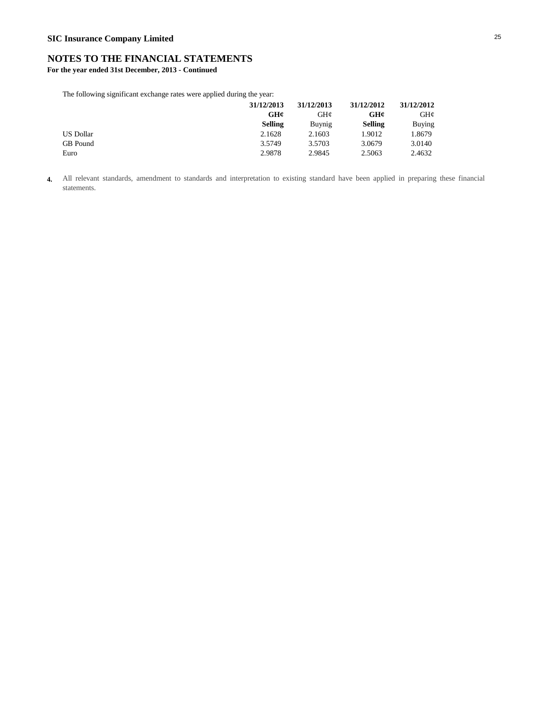**For the year ended 31st December, 2013 - Continued**

The following significant exchange rates were applied during the year:

| 31/12/2013     | 31/12/2013 | 31/12/2012     | 31/12/2012 |
|----------------|------------|----------------|------------|
| GH¢            | GHC        | GH¢            | GH¢        |
| <b>Selling</b> | Buynig     | <b>Selling</b> | Buying     |
| 2.1628         | 2.1603     | 1.9012         | 1.8679     |
| 3.5749         | 3.5703     | 3.0679         | 3.0140     |
| 2.9878         | 2.9845     | 2.5063         | 2.4632     |
|                |            |                |            |

**4.** All relevant standards, amendment to standards and interpretation to existing standard have been applied in preparing these financial statements.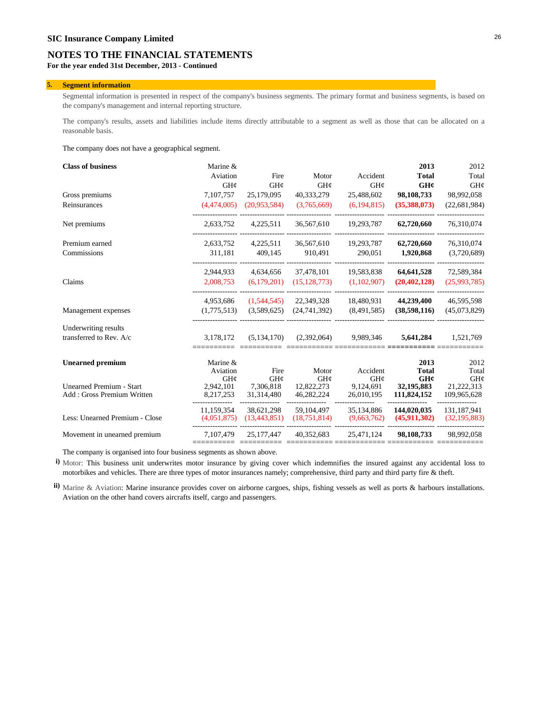**For the year ended 31st December, 2013 - Continued**

#### **5. Segment information**

Segmental information is presented in respect of the company's business segments. The primary format and business segments, is based on the company's management and internal reporting structure.

The company's results, assets and liabilities include items directly attributable to a segment as well as those that can be allocated on a reasonable basis.

The company does not have a geographical segment.

| <b>Class of business</b>        | Marine &    |                |                |               | 2013           | 2012           |
|---------------------------------|-------------|----------------|----------------|---------------|----------------|----------------|
|                                 | Aviation    | Fire           | Motor          | Accident      | <b>Total</b>   | Total          |
|                                 | GH¢         | GH¢            | GH¢            | GH¢           | GH¢            | GH¢            |
| Gross premiums                  | 7,107,757   | 25,179,095     | 40,333,279     | 25,488,602    | 98,108,733     | 98,992,058     |
| Reinsurances                    | (4,474,005) | (20,953,584)   | (3,765,669)    | (6, 194, 815) | (35,388,073)   | (22, 681, 984) |
| Net premiums                    | 2,633,752   | 4,225,511      | 36,567,610     | 19.293.787    | 62,720,660     | 76.310.074     |
| Premium earned                  | 2,633,752   | 4,225,511      | 36,567,610     | 19,293,787    | 62,720,660     | 76,310,074     |
| Commissions                     | 311,181     | 409,145        | 910,491        | 290,051       | 1,920,868      | (3,720,689)    |
|                                 | 2,944,933   | 4,634,656      | 37,478,101     | 19,583,838    | 64,641,528     | 72,589,384     |
| Claims                          | 2,008,753   | (6,179,201)    | (15, 128, 773) | (1,102,907)   | (20, 402, 128) | (25,993,785)   |
|                                 | 4,953,686   | (1,544,545)    | 22,349,328     | 18,480,931    | 44,239,400     | 46,595,598     |
| Management expenses             | (1,775,513) | (3,589,625)    | (24, 741, 392) | (8,491,585)   | (38,598,116)   | (45,073,829)   |
| Underwriting results            |             |                |                |               |                |                |
| transferred to Rev. A/c         | 3.178.172   | (5,134,170)    | (2,392,064)    | 9.989.346     | 5,641,284      | 1,521,769      |
| <b>Unearned</b> premium         | Marine &    |                |                |               | 2013           | 2012           |
|                                 | Aviation    | Fire           | Motor          | Accident      | <b>Total</b>   | Total          |
|                                 | GH¢         | GH¢            | GH¢            | GH¢           | GH¢            | GH¢            |
| <b>Unearned Premium - Start</b> | 2,942,101   | 7,306,818      | 12,822,273     | 9,124,691     | 32,195,883     | 21,222,313     |
| Add: Gross Premium Written      | 8,217,253   | 31,314,480     | 46,282,224     | 26,010,195    | 111,824,152    | 109,965,628    |
|                                 | 11.159.354  | 38,621,298     | 59.104.497     | 35.134.886    | 144,020,035    | 131,187,941    |
| Less: Unearned Premium - Close  | (4,051,875) | (13, 443, 851) | (18,751,814)   | (9,663,762)   | (45,911,302)   | (32, 195, 883) |
| Movement in unearned premium    | 7,107,479   | 25, 177, 447   | 40,352,683     | 25,471,124    | 98,108,733     | 98,992,058     |
|                                 |             |                |                |               |                |                |

The company is organised into four business segments as shown above.

**i)** Motor: This business unit underwrites motor insurance by giving cover which indemnifies the insured against any accidental loss to motorbikes and vehicles. There are three types of motor insurances namely; comprehensive, third party and third party fire & theft.

**ii)** Marine & Aviation: Marine insurance provides cover on airborne cargoes, ships, fishing vessels as well as ports & harbours installations. Aviation on the other hand covers aircrafts itself, cargo and passengers.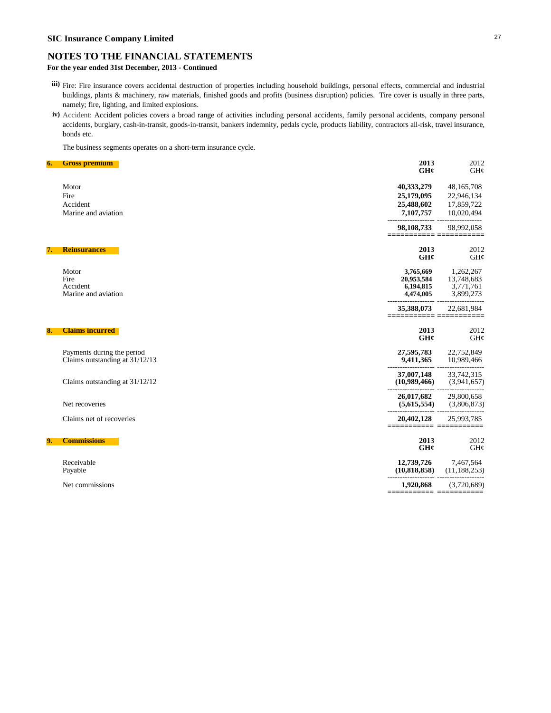## **SIC Insurance Company Limited** <sup>27</sup>

### **NOTES TO THE FINANCIAL STATEMENTS**

### **For the year ended 31st December, 2013 - Continued**

- **iii)** Fire: Fire insurance covers accidental destruction of properties including household buildings, personal effects, commercial and industrial buildings, plants & machinery, raw materials, finished goods and profits (business disruption) policies. Tire cover is usually in three parts, namely; fire, lighting, and limited explosions.
- **iv)** Accident: Accident policies covers a broad range of activities including personal accidents, family personal accidents, company personal accidents, burglary, cash-in-transit, goods-in-transit, bankers indemnity, pedals cycle, products liability, contractors all-risk, travel insurance, bonds etc.

The business segments operates on a short-term insurance cycle.

| 6. | <b>Gross premium</b>                                         | 2013<br>GH¢                                       | 2012<br>GH¢                                       |
|----|--------------------------------------------------------------|---------------------------------------------------|---------------------------------------------------|
|    | Motor                                                        | 40,333,279                                        | 48,165,708                                        |
|    | Fire                                                         | 25,179,095                                        | 22,946,134                                        |
|    | Accident                                                     | 25,488,602                                        | 17,859,722                                        |
|    | Marine and aviation                                          | 7,107,757                                         | 10,020,494                                        |
|    |                                                              | 98,108,733                                        | 98,992,058                                        |
| 7. | <b>Reinsurances</b>                                          | 2013                                              | 2012                                              |
|    |                                                              | GH¢                                               | GH@                                               |
|    | Motor<br>Fire<br>Accident<br>Marine and aviation             | 3,765,669<br>20,953,584<br>6,194,815<br>4,474,005 | 1,262,267<br>13,748,683<br>3,771,761<br>3,899,273 |
|    |                                                              | 35,388,073                                        | 22,681,984                                        |
| 8. | <b>Claims incurred</b>                                       | 2013<br>GH¢                                       | 2012<br>GH¢                                       |
|    | Payments during the period<br>Claims outstanding at 31/12/13 | 27,595,783<br>9,411,365                           | 22,752,849<br>10,989,466                          |
|    | Claims outstanding at 31/12/12                               | 37,007,148<br>(10,989,466)                        | 33,742,315<br>(3,941,657)                         |
|    | Net recoveries                                               | 26,017,682<br>(5,615,554)                         | 29,800,658<br>(3,806,873)                         |
|    | Claims net of recoveries                                     | 20,402,128<br>=========== =======                 | 25,993,785                                        |
| 9. | <b>Commissions</b>                                           | 2013<br>GHC                                       | 2012<br>GH@                                       |
|    | Receivable<br>Payable                                        | 12,739,726<br>(10,818,858)                        | 7,467,564<br>(11, 188, 253)                       |
|    | Net commissions                                              | 1,920,868                                         | (3,720,689)                                       |
|    |                                                              | ≔ ==                                              |                                                   |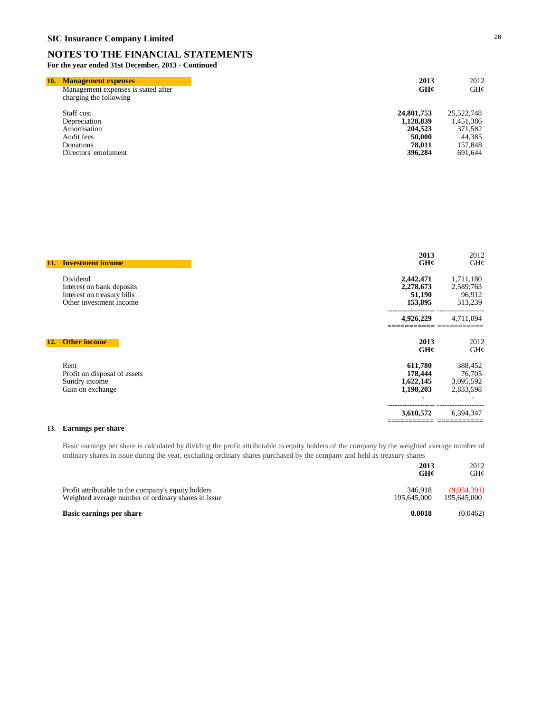**For the year ended 31st December, 2013 - Continued**

| 10. | <b>Management expenses</b>                                    | 2013       | 2012       |
|-----|---------------------------------------------------------------|------------|------------|
|     | Management expenses is stated after<br>charging the following | GHC        | GH¢        |
|     | Staff cost                                                    | 24,801,753 | 25,522,748 |
|     | Depreciation                                                  | 1,128,839  | 1,451,386  |
|     | Amortisation                                                  | 204,523    | 371,582    |
|     | Audit fees                                                    | 50,000     | 44,385     |
|     | Donations                                                     | 78,011     | 157,848    |
|     | Directors' emolument                                          | 396,284    | 691,644    |

| 11. | <b>Investment income</b>     | 2013<br>GH¢ | 2012<br>GH¢ |
|-----|------------------------------|-------------|-------------|
|     | Dividend                     | 2,442,471   | 1,711,180   |
|     | Interest on bank deposits    | 2,278,673   | 2,589,763   |
|     | Interest on treasury bills   | 51,190      | 96,912      |
|     | Other investment income      | 153,895     | 313,239     |
|     |                              | 4,926,229   | 4,711,094   |
| 12. | <b>Other income</b>          | 2013<br>GH¢ | 2012<br>GH¢ |
|     | Rent                         | 611,780     | 388,452     |
|     | Profit on disposal of assets | 178,444     | 76,705      |
|     | Sundry income                | 1,622,145   | 3,095,592   |
|     | Gain on exchange             | 1,198,203   | 2,833,598   |
|     |                              | 3,610,572   | 6,394,347   |
|     |                              |             |             |

### **13. Earnings per share**

Basic earnings per share is calculated by dividing the profit attributable to equity holders of the company by the weighted average number of ordinary shares in issue during the year, excluding ordinary shares purchased by the company and held as treasury shares

|                                                                                                            | 2013<br>GH¢            | 2012<br>GH¢                |
|------------------------------------------------------------------------------------------------------------|------------------------|----------------------------|
| Profit attributable to the company's equity holders<br>Weighted average number of ordinary shares in issue | 346,918<br>195.645.000 | (9,034,391)<br>195,645,000 |
| Basic earnings per share                                                                                   | 0.0018                 | (0.0462)                   |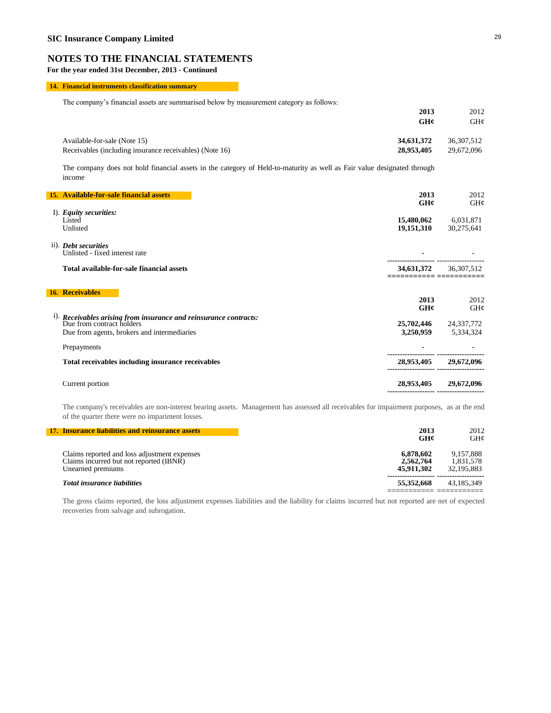**For the year ended 31st December, 2013 - Continued**

### **14. Financial instruments classification summary**

The company's financial assets are summarised below by measurement category as follows:

|                                                         | GH¢        | GH¢        |
|---------------------------------------------------------|------------|------------|
| Available-for-sale (Note 15)                            | 34,631,372 | 36.307.512 |
| Receivables (including insurance receivables) (Note 16) | 28,953,405 | 29,672,096 |

The company does not hold financial assets in the category of Held-to-maturity as well as Fair value designated through income

| 15. Available-for-sale financial assets                                                                      | 2013                               | 2012        |
|--------------------------------------------------------------------------------------------------------------|------------------------------------|-------------|
|                                                                                                              | GH¢                                | GH¢         |
| I). Equity securities:<br>Listed                                                                             | 15,480,062                         | 6,031,871   |
| Unlisted                                                                                                     | 19,151,310                         | 30,275,641  |
| ii). Debt securities<br>Unlisted - fixed interest rate                                                       |                                    |             |
| Total available-for-sale financial assets                                                                    | 34,631,372<br>:=========== ======= | 36,307,512  |
| <b>16. Receivables</b>                                                                                       |                                    |             |
|                                                                                                              | 2013<br>GHC                        | 2012<br>GH¢ |
| $\overline{1}$ ). Receivables arising from insurance and reinsurance contracts:<br>Due from contract holders | 25,702,446                         | 24,337,772  |
| Due from agents, brokers and intermediaries                                                                  | 3,250,959                          | 5,334,324   |
| Prepayments                                                                                                  |                                    |             |
| Total receivables including insurance receivables                                                            | 28,953,405                         | 29,672,096  |
| Current portion                                                                                              | 28,953,405                         | 29,672,096  |
|                                                                                                              |                                    |             |

The company's receivables are non-interest bearing assets. Management has assessed all receivables for impairment purposes, as at the end of the quarter there were no impariment losses.

| 17. Insurance liabilities and reinsurance assets                                                             | 2013<br>GH¢                          | 2012<br>GHC                          |
|--------------------------------------------------------------------------------------------------------------|--------------------------------------|--------------------------------------|
| Claims reported and loss adjustment expenses<br>Claims incurred but not reported (IBNR)<br>Unearned premiums | 6.878.602<br>2,562,764<br>45,911,302 | 9.157.888<br>1,831,578<br>32,195,883 |
| <b>Total insurance liabilities</b>                                                                           | 55,352,668                           | 43.185.349                           |

The gross claims reported, the loss adjustment expenses liabilities and the liability for claims incurred but not reported are net of expected recoveries from salvage and subrogation.

**2013** 2012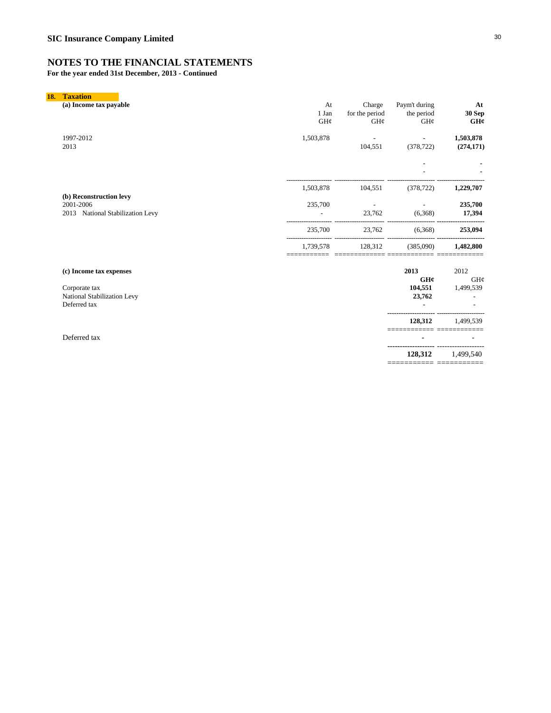**For the year ended 31st December, 2013 - Continued**

| 18. | <b>Taxation</b>                                                          |                    |                                    |                                    |                         |
|-----|--------------------------------------------------------------------------|--------------------|------------------------------------|------------------------------------|-------------------------|
|     | (a) Income tax payable                                                   | At<br>1 Jan<br>GH¢ | Charge<br>for the period<br>GH¢    | Paym't during<br>the period<br>GH¢ | At<br>30 Sep<br>GH¢     |
|     | 1997-2012<br>2013                                                        | 1,503,878          | 104,551                            | $\blacksquare$<br>(378, 722)       | 1,503,878<br>(274, 171) |
|     |                                                                          |                    |                                    |                                    |                         |
|     |                                                                          | 1,503,878          | 104,551                            | (378, 722)                         | 1,229,707               |
|     | (b) Reconstruction levy<br>2001-2006<br>2013 National Stabilization Levy | 235,700            | $\overline{\phantom{a}}$<br>23,762 | (6,368)                            | 235,700<br>17,394       |
|     |                                                                          | 235,700            | 23,762                             | (6,368)                            | 253,094                 |
|     |                                                                          | 1,739,578          | 128,312                            | (385,090)                          | 1,482,800               |
|     | (c) Income tax expenses                                                  |                    |                                    | 2013<br>GH¢                        | 2012<br>GH¢             |
|     | Corporate tax<br>National Stabilization Levy<br>Deferred tax             |                    |                                    | 104,551<br>23,762                  | 1,499,539               |
|     |                                                                          |                    |                                    | 128,312                            | 1.499.539               |
|     | Deferred tax                                                             |                    |                                    |                                    |                         |

 **128,312** 1,499,540 =========== ===========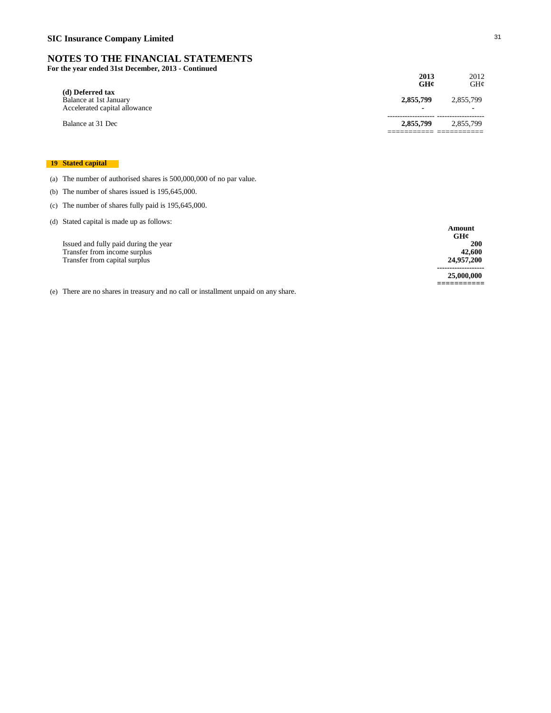**For the year ended 31st December, 2013 - Continued**

| of the year ended 31st December, 2013 - Continued                           | 2013<br>GH¢    | 2012<br>GHC |
|-----------------------------------------------------------------------------|----------------|-------------|
| (d) Deferred tax<br>Balance at 1st January<br>Accelerated capital allowance | 2,855,799<br>- | 2,855,799   |
| Balance at 31 Dec                                                           | 2,855,799      | 2.855.799   |

### **19 Stated capital**

(a) The number of authorised shares is 500,000,000 of no par value.

- (b) The number of shares issued is 195,645,000.
- (c) The number of shares fully paid is 195,645,000.

| (d) Stated capital is made up as follows: |            |
|-------------------------------------------|------------|
|                                           | Amount     |
|                                           | GH¢        |
| Issued and fully paid during the year     | <b>200</b> |
| Transfer from income surplus              | 42,600     |
| Transfer from capital surplus             | 24,957,200 |
|                                           |            |
|                                           | 25,000,000 |
|                                           |            |

(e) There are no shares in treasury and no call or installment unpaid on any share.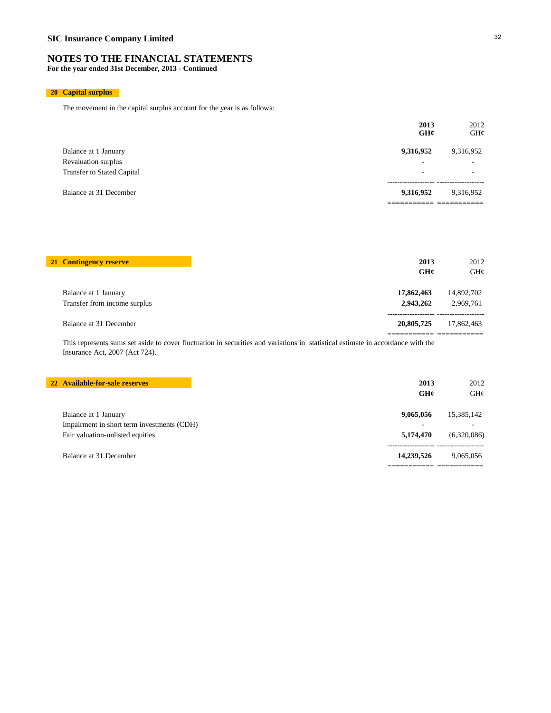**For the year ended 31st December, 2013 - Continued**

### **20 Capital surplus**

The movement in the capital surplus account for the year is as follows:

|                                   | 2013<br>GHC              | 2012<br>GH¢              |
|-----------------------------------|--------------------------|--------------------------|
| Balance at 1 January              | 9,316,952                | 9,316,952                |
| Revaluation surplus               | $\overline{\phantom{a}}$ | $\overline{\phantom{a}}$ |
| <b>Transfer to Stated Capital</b> | -                        | $\overline{\phantom{a}}$ |
| Balance at 31 December            | 9,316,952                | 9,316,952                |
|                                   |                          |                          |

| 21 Contingency reserve       | 2013       | 2012       |
|------------------------------|------------|------------|
|                              | GH¢        | GHz        |
| Balance at 1 January         | 17,862,463 | 14,892,702 |
| Transfer from income surplus | 2,943,262  | 2.969.761  |
| Balance at 31 December       | 20,805,725 | 17.862.463 |

This represents sums set aside to cover fluctuation in securities and variations in statistical estimate in accordance with the Insurance Act, 2007 (Act 724).

**22 Available-for-sale reserves 2013** 2012

|                                            | GH¢        | GH@         |
|--------------------------------------------|------------|-------------|
| Balance at 1 January                       | 9,065,056  | 15,385,142  |
| Impairment in short term investments (CDH) | -          |             |
| Fair valuation-unlisted equities           | 5,174,470  | (6,320,086) |
| Balance at 31 December                     | 14.239.526 | 9.065.056   |
|                                            |            |             |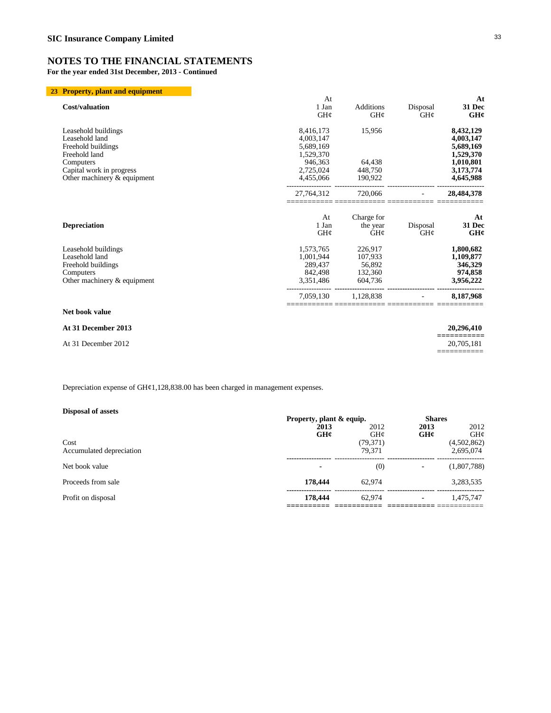**For the year ended 31st December, 2013 - Continued**

### **23 Property, plant and equipment**

|                                                           | At                   |                               |                 | At                     |
|-----------------------------------------------------------|----------------------|-------------------------------|-----------------|------------------------|
| <b>Cost/valuation</b>                                     | 1 Jan<br>GH¢         | <b>Additions</b><br>GH¢       | Disposal<br>GH@ | 31 Dec<br>GH¢          |
| Leasehold buildings                                       | 8,416,173            | 15,956                        |                 | 8,432,129              |
| Leasehold land                                            | 4,003,147            |                               |                 | 4,003,147              |
| Freehold buildings                                        | 5,689,169            |                               |                 | 5,689,169              |
| Freehold land                                             | 1,529,370            |                               |                 | 1,529,370              |
| Computers                                                 | 946,363<br>2,725,024 | 64,438<br>448,750             |                 | 1,010,801              |
| Capital work in progress<br>Other machinery $&$ equipment | 4,455,066            | 190,922                       |                 | 3,173,774<br>4,645,988 |
|                                                           | 27,764,312           | 720,066                       |                 | 28,484,378             |
| <b>Depreciation</b>                                       | At<br>1 Jan<br>GH@   | Charge for<br>the year<br>GHC | Disposal<br>GH@ | At<br>31 Dec<br>GH¢    |
| Leasehold buildings                                       | 1,573,765            | 226,917                       |                 | 1,800,682              |
| Leasehold land                                            | 1,001,944            | 107,933                       |                 | 1,109,877              |
| Freehold buildings                                        | 289.437              | 56,892                        |                 | 346,329                |
| Computers                                                 | 842,498              | 132,360                       |                 | 974,858                |
| Other machinery & equipment                               | 3,351,486            | 604,736                       |                 | 3,956,222              |
|                                                           | 7,059,130            | 1,128,838                     |                 | 8,187,968              |
| Net book value                                            |                      |                               |                 |                        |
| At 31 December 2013                                       |                      |                               |                 | 20,296,410             |
| At 31 December 2012                                       |                      |                               |                 | 20,705,181             |

Depreciation expense of GH¢1,128,838.00 has been charged in management expenses.

### **Disposal of assets**

| Disposal of assets               |                          |                     |               |                          |
|----------------------------------|--------------------------|---------------------|---------------|--------------------------|
|                                  | Property, plant & equip. |                     | <b>Shares</b> |                          |
|                                  | 2013<br>GH¢              | 2012<br>GH@         | 2013<br>GHC   | 2012<br>GHC              |
| Cost<br>Accumulated depreciation |                          | (79, 371)<br>79.371 |               | (4,502,862)<br>2,695,074 |
| Net book value                   |                          | (0)                 |               | (1,807,788)              |
| Proceeds from sale               | 178,444                  | 62.974              |               | 3,283,535                |
| Profit on disposal               | 178,444                  | 62,974              |               | 1.475.747                |
|                                  |                          |                     |               |                          |

===========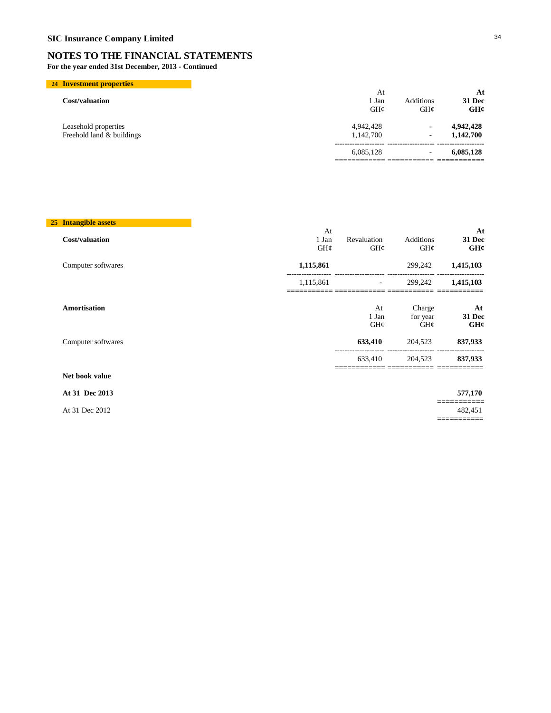**For the year ended 31st December, 2013 - Continued**

| 24 Investment properties                          |                        |                         |                        |
|---------------------------------------------------|------------------------|-------------------------|------------------------|
| Cost/valuation                                    | At<br>1 Jan<br>GHC     | <b>Additions</b><br>GHC | At<br>31 Dec<br>GH¢    |
| Leasehold properties<br>Freehold land & buildings | 4.942.428<br>1,142,700 | ۰<br>۰                  | 4,942,428<br>1,142,700 |
|                                                   | 6,085,128              | ۰                       | 6,085,128              |
|                                                   |                        |                         |                        |

### **25 Intangible assets**

|                       | At                       |               |                           | At                       |
|-----------------------|--------------------------|---------------|---------------------------|--------------------------|
| <b>Cost/valuation</b> | 1 Jan                    | Revaluation   | Additions                 | 31 Dec                   |
|                       | GH¢                      | GH¢           | GH¢                       | GH¢                      |
| Computer softwares    | 1,115,861                |               | 299,242                   | 1,415,103                |
|                       | 1,115,861<br>___________ | _____________ | 299,242<br>______________ | 1,415,103<br>___________ |
| Amortisation          |                          | At            | Charge                    | At                       |
|                       |                          | 1 Jan         | for year                  | 31 Dec                   |
|                       |                          | GH¢           | $GH\mathcal{C}$           | GH¢                      |
| Computer softwares    |                          | 633,410       | 204,523                   | 837,933                  |
|                       |                          | 633,410       | 204.523                   | 837,933                  |
| Net book value        |                          |               |                           |                          |

### **At 31 Dec 2013 577,170**

At 31 Dec 2012

**===========** ===========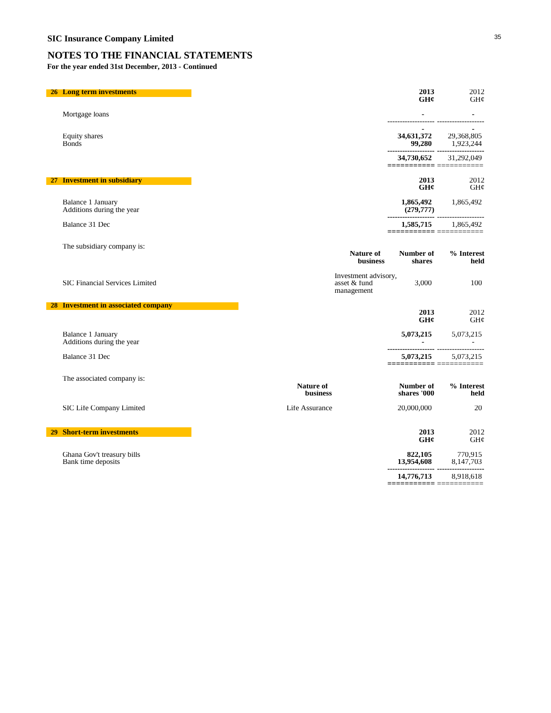**For the year ended 31st December, 2013 - Continued**

| Mortgage loans<br>----------------- -------------------<br>34,631,372 29,368,805<br>Equity shares<br>99,280 1,923,244<br><b>Bonds</b><br>34,730,652 31,292,049<br>=========== =========<br>2013<br>27 Investment in subsidiary<br>2012<br>GH¢<br>GH¢<br>Balance 1 January<br>$1,865,492$ $1,865,492$<br>(279,777)<br>Additions during the year<br>(279, 777)<br><br>Balance 31 Dec<br>1,585,715 1,865,492<br>=========== ===========<br>The subsidiary company is:<br>% Interest<br>Nature of<br>Number of<br>business<br>shares<br>held<br>Investment advisory,<br>SIC Financial Services Limited<br>asset & fund<br>3,000<br>100<br>management<br>28 Investment in associated company<br>2013<br>2012<br>GH¢<br>GH¢<br>Balance 1 January<br>5,073,215 5,073,215<br>Additions during the year<br>5,073,215 5,073,215<br>Balance 31 Dec<br>=========== ===========<br>The associated company is:<br>Nature of<br>Number of<br><b>business</b><br>shares '000<br>held<br>SIC Life Company Limited<br>Life Assurance<br>20<br>20,000,000<br>29 Short-term investments<br>2013<br>2012<br>GHC<br>GH¢<br>Ghana Gov't treasury bills<br>$822,105$ $13,954,608$ $3,147,703$ $3,147,703$ $3,147,703$ $3,147,703$ $3,147,703$ $3,147,703$ $3,147,703$ $3,147,703$ $3,147,703$ $3,147,703$ $3,147,703$ $3,147,703$ $3,147,703$ $3,147,703$ $3,147,703$ $3,147,703$ $3,147$<br>Bank time deposits<br>14,776,713<br>8,918,618<br>____________________________ | <b>26 Long term investments</b> |  | 2013<br>GHC | 2012<br>GH¢ |
|----------------------------------------------------------------------------------------------------------------------------------------------------------------------------------------------------------------------------------------------------------------------------------------------------------------------------------------------------------------------------------------------------------------------------------------------------------------------------------------------------------------------------------------------------------------------------------------------------------------------------------------------------------------------------------------------------------------------------------------------------------------------------------------------------------------------------------------------------------------------------------------------------------------------------------------------------------------------------------------------------------------------------------------------------------------------------------------------------------------------------------------------------------------------------------------------------------------------------------------------------------------------------------------------------------------------------------------------------------------------------------------------------------------------------------------------------|---------------------------------|--|-------------|-------------|
|                                                                                                                                                                                                                                                                                                                                                                                                                                                                                                                                                                                                                                                                                                                                                                                                                                                                                                                                                                                                                                                                                                                                                                                                                                                                                                                                                                                                                                                    |                                 |  |             |             |
|                                                                                                                                                                                                                                                                                                                                                                                                                                                                                                                                                                                                                                                                                                                                                                                                                                                                                                                                                                                                                                                                                                                                                                                                                                                                                                                                                                                                                                                    |                                 |  |             |             |
|                                                                                                                                                                                                                                                                                                                                                                                                                                                                                                                                                                                                                                                                                                                                                                                                                                                                                                                                                                                                                                                                                                                                                                                                                                                                                                                                                                                                                                                    |                                 |  |             |             |
|                                                                                                                                                                                                                                                                                                                                                                                                                                                                                                                                                                                                                                                                                                                                                                                                                                                                                                                                                                                                                                                                                                                                                                                                                                                                                                                                                                                                                                                    |                                 |  |             |             |
|                                                                                                                                                                                                                                                                                                                                                                                                                                                                                                                                                                                                                                                                                                                                                                                                                                                                                                                                                                                                                                                                                                                                                                                                                                                                                                                                                                                                                                                    |                                 |  |             |             |
|                                                                                                                                                                                                                                                                                                                                                                                                                                                                                                                                                                                                                                                                                                                                                                                                                                                                                                                                                                                                                                                                                                                                                                                                                                                                                                                                                                                                                                                    |                                 |  |             |             |
|                                                                                                                                                                                                                                                                                                                                                                                                                                                                                                                                                                                                                                                                                                                                                                                                                                                                                                                                                                                                                                                                                                                                                                                                                                                                                                                                                                                                                                                    |                                 |  |             |             |
|                                                                                                                                                                                                                                                                                                                                                                                                                                                                                                                                                                                                                                                                                                                                                                                                                                                                                                                                                                                                                                                                                                                                                                                                                                                                                                                                                                                                                                                    |                                 |  |             |             |
|                                                                                                                                                                                                                                                                                                                                                                                                                                                                                                                                                                                                                                                                                                                                                                                                                                                                                                                                                                                                                                                                                                                                                                                                                                                                                                                                                                                                                                                    |                                 |  |             |             |
|                                                                                                                                                                                                                                                                                                                                                                                                                                                                                                                                                                                                                                                                                                                                                                                                                                                                                                                                                                                                                                                                                                                                                                                                                                                                                                                                                                                                                                                    |                                 |  |             |             |
|                                                                                                                                                                                                                                                                                                                                                                                                                                                                                                                                                                                                                                                                                                                                                                                                                                                                                                                                                                                                                                                                                                                                                                                                                                                                                                                                                                                                                                                    |                                 |  |             |             |
|                                                                                                                                                                                                                                                                                                                                                                                                                                                                                                                                                                                                                                                                                                                                                                                                                                                                                                                                                                                                                                                                                                                                                                                                                                                                                                                                                                                                                                                    |                                 |  |             |             |
|                                                                                                                                                                                                                                                                                                                                                                                                                                                                                                                                                                                                                                                                                                                                                                                                                                                                                                                                                                                                                                                                                                                                                                                                                                                                                                                                                                                                                                                    |                                 |  |             | % Interest  |
|                                                                                                                                                                                                                                                                                                                                                                                                                                                                                                                                                                                                                                                                                                                                                                                                                                                                                                                                                                                                                                                                                                                                                                                                                                                                                                                                                                                                                                                    |                                 |  |             |             |
|                                                                                                                                                                                                                                                                                                                                                                                                                                                                                                                                                                                                                                                                                                                                                                                                                                                                                                                                                                                                                                                                                                                                                                                                                                                                                                                                                                                                                                                    |                                 |  |             |             |
|                                                                                                                                                                                                                                                                                                                                                                                                                                                                                                                                                                                                                                                                                                                                                                                                                                                                                                                                                                                                                                                                                                                                                                                                                                                                                                                                                                                                                                                    |                                 |  |             |             |
|                                                                                                                                                                                                                                                                                                                                                                                                                                                                                                                                                                                                                                                                                                                                                                                                                                                                                                                                                                                                                                                                                                                                                                                                                                                                                                                                                                                                                                                    |                                 |  |             |             |
|                                                                                                                                                                                                                                                                                                                                                                                                                                                                                                                                                                                                                                                                                                                                                                                                                                                                                                                                                                                                                                                                                                                                                                                                                                                                                                                                                                                                                                                    |                                 |  |             |             |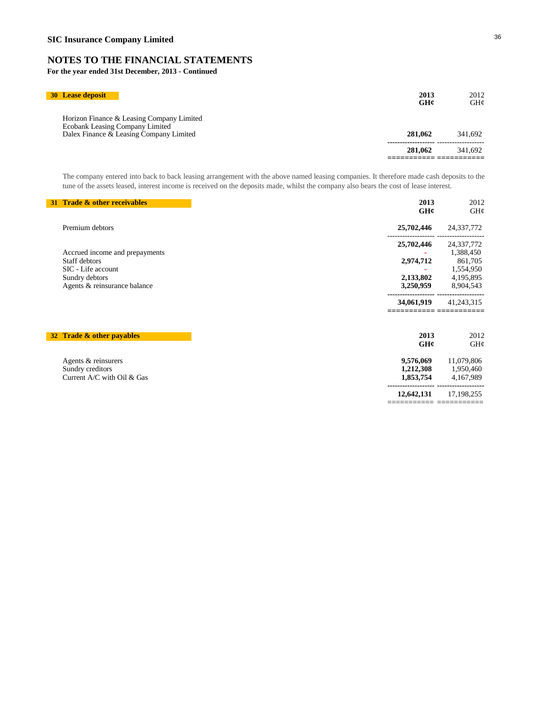**For the year ended 31st December, 2013 - Continued**

| <b>30 Lease deposit</b>                                                                                                 | 2013<br>GH¢ | 2012<br>GHC |
|-------------------------------------------------------------------------------------------------------------------------|-------------|-------------|
| Horizon Finance & Leasing Company Limited<br>Ecobank Leasing Company Limited<br>Dalex Finance & Leasing Company Limited | 281.062     | 341.692     |
|                                                                                                                         | 281,062     | 341.692     |
|                                                                                                                         |             |             |

The company entered into back to back leasing arrangement with the above named leasing companies. It therefore made cash deposits to the tune of the assets leased, interest income is received on the deposits made, whilst the company also bears the cost of lease interest.

| 31 Trade & other receivables   | 2013<br>GH¢ | 2012<br>GH¢  |
|--------------------------------|-------------|--------------|
| Premium debtors                | 25,702,446  | 24,337,772   |
|                                | 25,702,446  | 24,337,772   |
| Accrued income and prepayments |             | 1,388,450    |
| Staff debtors                  | 2,974,712   | 861,705      |
| SIC - Life account             |             | 1,554,950    |
| Sundry debtors                 | 2,133,802   | 4,195,895    |
| Agents & reinsurance balance   | 3,250,959   | 8,904,543    |
|                                | 34,061,919  | 41,243,315   |
| 32 Trade & other payables      | 2013<br>GH¢ | 2012<br>GH¢  |
|                                |             |              |
| Agents & reinsurers            | 9,576,069   | 11,079,806   |
| Sundry creditors               | 1,212,308   | 1,950,460    |
| Current A/C with Oil & Gas     | 1,853,754   | 4,167,989    |
|                                | 12,642,131  | 17, 198, 255 |
|                                |             |              |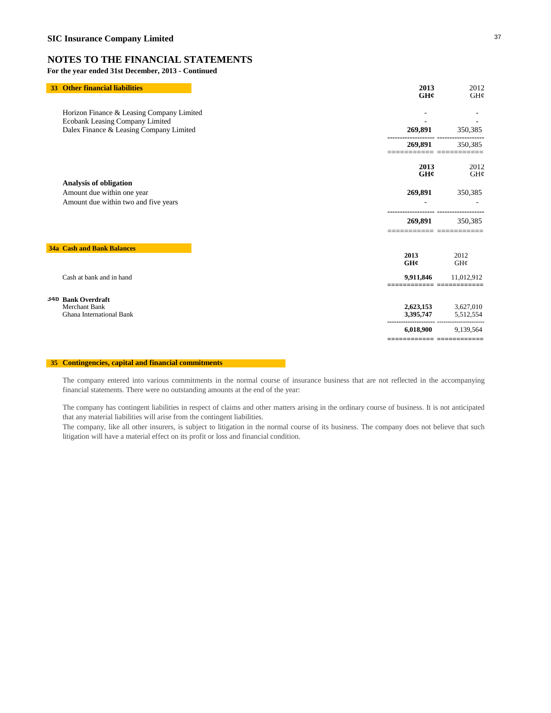**For the year ended 31st December, 2013 - Continued**

| 33 | <b>Other financial liabilities</b>                                     | 2013                      | 2012                   |
|----|------------------------------------------------------------------------|---------------------------|------------------------|
|    |                                                                        | GHC                       | GH¢                    |
|    | Horizon Finance & Leasing Company Limited                              |                           |                        |
|    | Ecobank Leasing Company Limited                                        |                           |                        |
|    | Dalex Finance & Leasing Company Limited                                | 269,891                   | 350,385                |
|    |                                                                        | 269,891                   | 350,385                |
|    |                                                                        | 2013<br>GH¢               | 2012<br>GH¢            |
|    | Analysis of obligation                                                 |                           |                        |
|    | Amount due within one year                                             | 269,891                   | 350,385                |
|    | Amount due within two and five years                                   |                           |                        |
|    |                                                                        | 269,891                   | 350,385                |
|    | <b>34a Cash and Bank Balances</b>                                      |                           |                        |
|    |                                                                        | 2013<br>GH¢               | 2012<br>GH¢            |
|    | Cash at bank and in hand                                               | 9,911,846                 | 11,012,912             |
|    |                                                                        |                           |                        |
|    | 34b Bank Overdraft<br><b>Merchant Bank</b><br>Ghana International Bank | 2,623,153<br>3,395,747    | 3,627,010<br>5,512,554 |
|    |                                                                        | 6,018,900                 | 9,139,564              |
|    |                                                                        | ========================= |                        |

### **35 Contingencies, capital and financial commitments**

The company entered into various commitments in the normal course of insurance business that are not reflected in the accompanying financial statements. There were no outstanding amounts at the end of the year:

The company has contingent liabilities in respect of claims and other matters arising in the ordinary course of business. It is not anticipated that any material liabilities will arise from the contingent liabilities.

The company, like all other insurers, is subject to litigation in the normal course of its business. The company does not believe that such litigation will have a material effect on its profit or loss and financial condition.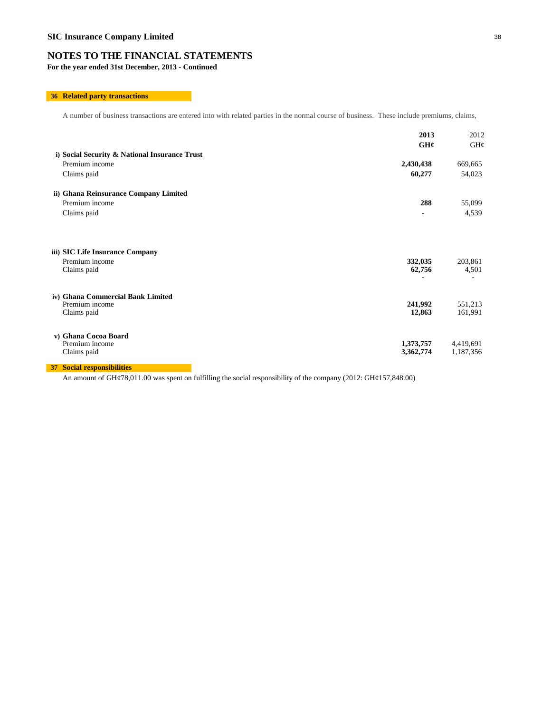**For the year ended 31st December, 2013 - Continued**

### **36 Related party transactions**

A number of business transactions are entered into with related parties in the normal course of business. These include premiums, claims,

|                                                                    | 2013                   | 2012                   |
|--------------------------------------------------------------------|------------------------|------------------------|
|                                                                    | GH¢                    | GH¢                    |
| i) Social Security & National Insurance Trust                      |                        |                        |
| Premium income                                                     | 2,430,438              | 669,665                |
| Claims paid                                                        | 60,277                 | 54,023                 |
| ii) Ghana Reinsurance Company Limited                              |                        |                        |
| Premium income                                                     | 288                    | 55,099                 |
| Claims paid                                                        | $\blacksquare$         | 4,539                  |
| iii) SIC Life Insurance Company<br>Premium income<br>Claims paid   | 332,035<br>62,756      | 203,861<br>4,501       |
| iv) Ghana Commercial Bank Limited<br>Premium income<br>Claims paid | 241,992<br>12,863      | 551,213<br>161,991     |
| v) Ghana Cocoa Board<br>Premium income<br>Claims paid              | 1,373,757<br>3,362,774 | 4,419,691<br>1,187,356 |
| <b>37 Social responsibilities</b>                                  |                        |                        |

An amount of GH¢78,011.00 was spent on fulfilling the social responsibility of the company (2012: GH¢157,848.00)